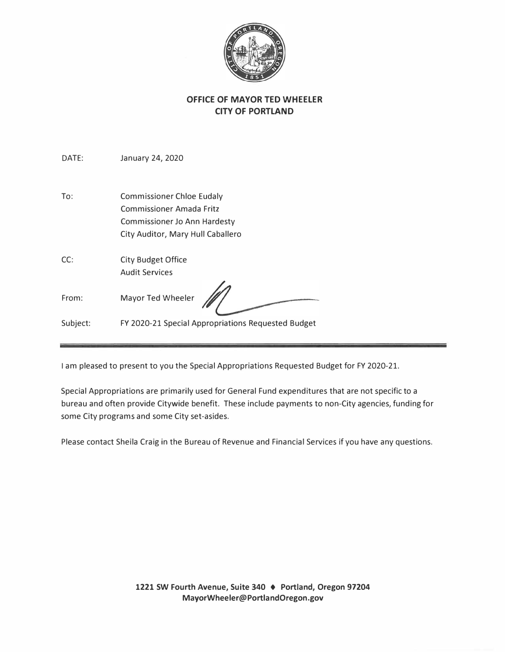

# **OFFICE OF MAYOR TED WHEELER CITY OF PORTLAND**

| DATE:    | January 24, 2020                                                                                                                                |
|----------|-------------------------------------------------------------------------------------------------------------------------------------------------|
| To:      | <b>Commissioner Chloe Eudaly</b><br><b>Commissioner Amada Fritz</b><br><b>Commissioner Jo Ann Hardesty</b><br>City Auditor, Mary Hull Caballero |
| CC:      | <b>City Budget Office</b><br><b>Audit Services</b>                                                                                              |
| From:    | Mayor Ted Wheeler                                                                                                                               |
| Subject: | FY 2020-21 Special Appropriations Requested Budget                                                                                              |

I am pleased to present to you the Special Appropriations Requested Budget for FY 2020-21.

Special Appropriations are primarily used for General Fund expenditures that are not specific to a bureau and often provide Citywide benefit. These include payments to non-City agencies, funding for some City programs and some City set-asides.

Please contact Sheila Craig in the Bureau of Revenue and Financial Services if you have any questions.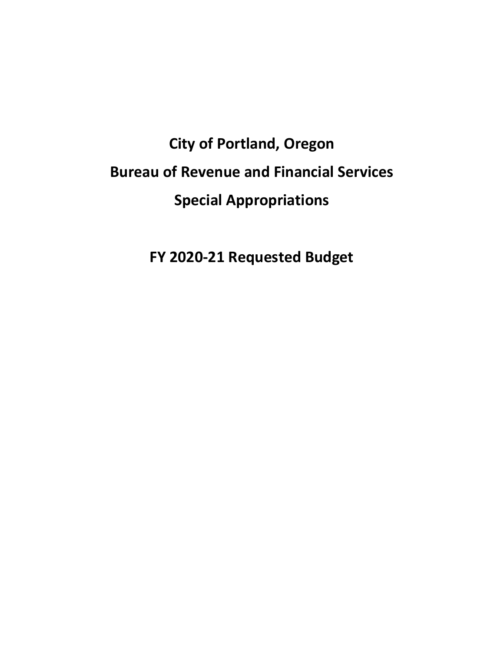# **City of Portland, Oregon Bureau of Revenue and Financial Services Special Appropriations**

**FY 2020-21 Requested Budget**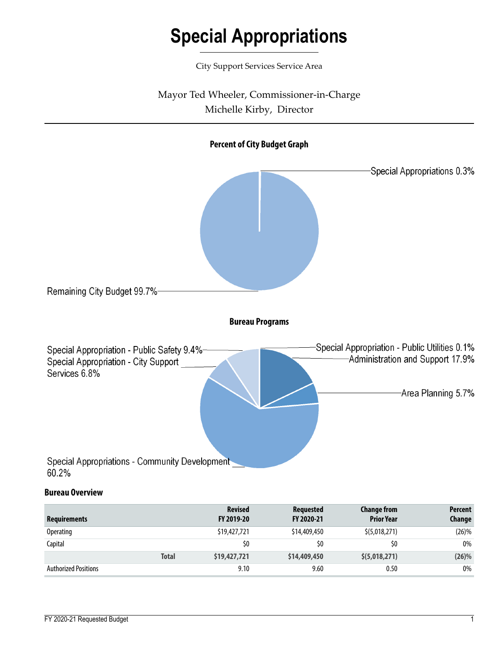# **Special Appropriations**

City Support Services Service Area

# Mayor Ted Wheeler, Commissioner-in-Charge Michelle Kirby, Director



|                             |              | <b>Revised</b> | <b>Requested</b> | Change from       | <b>Percent</b> |
|-----------------------------|--------------|----------------|------------------|-------------------|----------------|
| <b>Requirements</b>         |              | FY 2019-20     | FY 2020-21       | <b>Prior Year</b> | Change         |
| <b>Operating</b>            |              | \$19,427,721   | \$14,409,450     | \$ (5,018,271)    | $(26)\%$       |
| Capital                     |              | \$0            | \$0              | \$0               | 0%             |
|                             | <b>Total</b> | \$19,427,721   | \$14,409,450     | \$(5,018,271)     | $(26)\%$       |
| <b>Authorized Positions</b> |              | 9.10           | 9.60             | 0.50              | 0%             |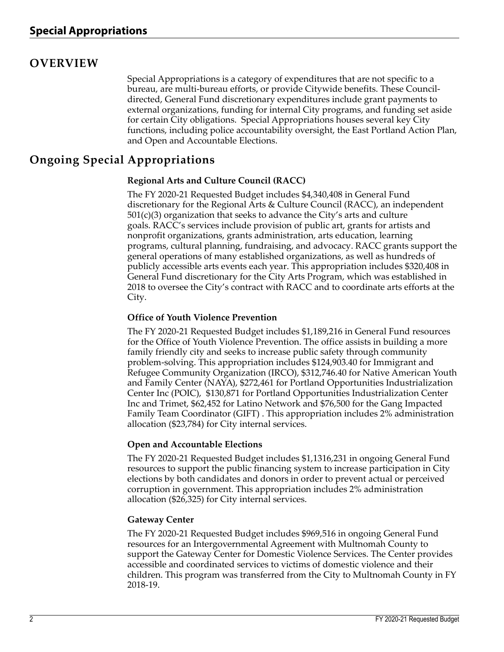# **OVERVIEW**

Special Appropriations is a category of expenditures that are not specific to a bureau, are multi-bureau efforts, or provide Citywide benefits. These Councildirected, General Fund discretionary expenditures include grant payments to external organizations, funding for internal City programs, and funding set aside for certain City obligations. Special Appropriations houses several key City functions, including police accountability oversight, the East Portland Action Plan, and Open and Accountable Elections.

# **Ongoing Special Appropriations**

# **Regional Arts and Culture Council (RACC)**

The FY 2020-21 Requested Budget includes \$4,340,408 in General Fund discretionary for the Regional Arts & Culture Council (RACC), an independent 501(c)(3) organization that seeks to advance the City's arts and culture goals. RACC's services include provision of public art, grants for artists and nonprofit organizations, grants administration, arts education, learning programs, cultural planning, fundraising, and advocacy. RACC grants support the general operations of many established organizations, as well as hundreds of publicly accessible arts events each year. This appropriation includes \$320,408 in General Fund discretionary for the City Arts Program, which was established in 2018 to oversee the City's contract with RACC and to coordinate arts efforts at the City.

# **Office of Youth Violence Prevention**

The FY 2020-21 Requested Budget includes \$1,189,216 in General Fund resources for the Office of Youth Violence Prevention. The office assists in building a more family friendly city and seeks to increase public safety through community problem-solving. This appropriation includes \$124,903.40 for Immigrant and Refugee Community Organization (IRCO), \$312,746.40 for Native American Youth and Family Center (NAYA), \$272,461 for Portland Opportunities Industrialization Center Inc (POIC), \$130,871 for Portland Opportunities Industrialization Center Inc and Trimet, \$62,452 for Latino Network and \$76,500 for the Gang Impacted Family Team Coordinator (GIFT) . This appropriation includes 2% administration allocation (\$23,784) for City internal services.

# **Open and Accountable Elections**

The FY 2020-21 Requested Budget includes \$1,1316,231 in ongoing General Fund resources to support the public financing system to increase participation in City elections by both candidates and donors in order to prevent actual or perceived corruption in government. This appropriation includes 2% administration allocation (\$26,325) for City internal services.

# **Gateway Center**

The FY 2020-21 Requested Budget includes \$969,516 in ongoing General Fund resources for an Intergovernmental Agreement with Multnomah County to support the Gateway Center for Domestic Violence Services. The Center provides accessible and coordinated services to victims of domestic violence and their children. This program was transferred from the City to Multnomah County in FY 2018-19.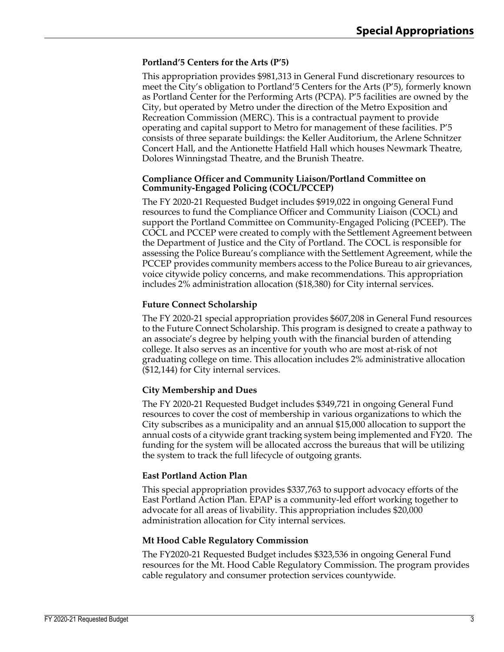## **Portland'5 Centers for the Arts (P'5)**

This appropriation provides \$981,313 in General Fund discretionary resources to meet the City's obligation to Portland'5 Centers for the Arts (P'5), formerly known as Portland Center for the Performing Arts (PCPA). P'5 facilities are owned by the City, but operated by Metro under the direction of the Metro Exposition and Recreation Commission (MERC). This is a contractual payment to provide operating and capital support to Metro for management of these facilities. P'5 consists of three separate buildings: the Keller Auditorium, the Arlene Schnitzer Concert Hall, and the Antionette Hatfield Hall which houses Newmark Theatre, Dolores Winningstad Theatre, and the Brunish Theatre.

### **Compliance Officer and Community Liaison/Portland Committee on Community-Engaged Policing (COCL/PCCEP)**

The FY 2020-21 Requested Budget includes \$919,022 in ongoing General Fund resources to fund the Compliance Officer and Community Liaison (COCL) and support the Portland Committee on Community-Engaged Policing (PCEEP). The COCL and PCCEP were created to comply with the Settlement Agreement between the Department of Justice and the City of Portland. The COCL is responsible for assessing the Police Bureau's compliance with the Settlement Agreement, while the PCCEP provides community members access to the Police Bureau to air grievances, voice citywide policy concerns, and make recommendations. This appropriation includes 2% administration allocation (\$18,380) for City internal services.

## **Future Connect Scholarship**

The FY 2020-21 special appropriation provides \$607,208 in General Fund resources to the Future Connect Scholarship. This program is designed to create a pathway to an associate's degree by helping youth with the financial burden of attending college. It also serves as an incentive for youth who are most at-risk of not graduating college on time. This allocation includes 2% administrative allocation (\$12,144) for City internal services.

# **City Membership and Dues**

The FY 2020-21 Requested Budget includes \$349,721 in ongoing General Fund resources to cover the cost of membership in various organizations to which the City subscribes as a municipality and an annual \$15,000 allocation to support the annual costs of a citywide grant tracking system being implemented and FY20. The funding for the system will be allocated accross the bureaus that will be utilizing the system to track the full lifecycle of outgoing grants.

### **East Portland Action Plan**

This special appropriation provides \$337,763 to support advocacy efforts of the East Portland Action Plan. EPAP is a community-led effort working together to advocate for all areas of livability. This appropriation includes \$20,000 administration allocation for City internal services.

### **Mt Hood Cable Regulatory Commission**

The FY2020-21 Requested Budget includes \$323,536 in ongoing General Fund resources for the Mt. Hood Cable Regulatory Commission. The program provides cable regulatory and consumer protection services countywide.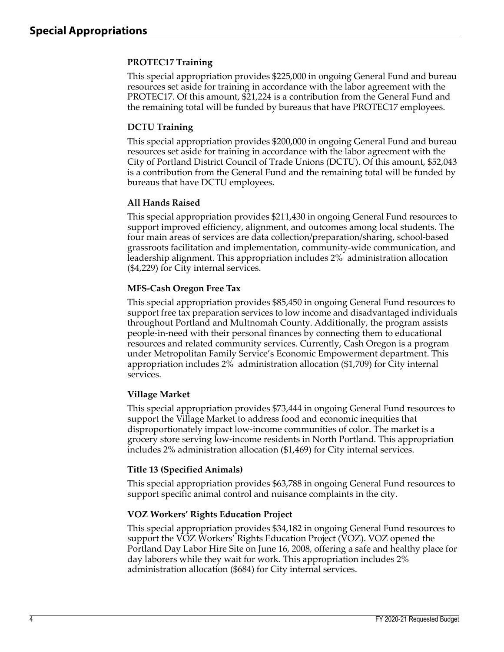# **PROTEC17 Training**

This special appropriation provides \$225,000 in ongoing General Fund and bureau resources set aside for training in accordance with the labor agreement with the PROTEC17. Of this amount, \$21,224 is a contribution from the General Fund and the remaining total will be funded by bureaus that have PROTEC17 employees.

# **DCTU Training**

This special appropriation provides \$200,000 in ongoing General Fund and bureau resources set aside for training in accordance with the labor agreement with the City of Portland District Council of Trade Unions (DCTU). Of this amount, \$52,043 is a contribution from the General Fund and the remaining total will be funded by bureaus that have DCTU employees.

# **All Hands Raised**

This special appropriation provides \$211,430 in ongoing General Fund resources to support improved efficiency, alignment, and outcomes among local students. The four main areas of services are data collection/preparation/sharing, school-based grassroots facilitation and implementation, community-wide communication, and leadership alignment. This appropriation includes 2% administration allocation (\$4,229) for City internal services.

# **MFS-Cash Oregon Free Tax**

This special appropriation provides \$85,450 in ongoing General Fund resources to support free tax preparation services to low income and disadvantaged individuals throughout Portland and Multnomah County. Additionally, the program assists people-in-need with their personal finances by connecting them to educational resources and related community services. Currently, Cash Oregon is a program under Metropolitan Family Service's Economic Empowerment department. This appropriation includes 2% administration allocation (\$1,709) for City internal services.

# **Village Market**

This special appropriation provides \$73,444 in ongoing General Fund resources to support the Village Market to address food and economic inequities that disproportionately impact low-income communities of color. The market is a grocery store serving low-income residents in North Portland. This appropriation includes 2% administration allocation (\$1,469) for City internal services.

# **Title 13 (Specified Animals)**

This special appropriation provides \$63,788 in ongoing General Fund resources to support specific animal control and nuisance complaints in the city.

# **VOZ Workers' Rights Education Project**

This special appropriation provides \$34,182 in ongoing General Fund resources to support the VOZ Workers' Rights Education Project (VOZ). VOZ opened the Portland Day Labor Hire Site on June 16, 2008, offering a safe and healthy place for day laborers while they wait for work. This appropriation includes 2% administration allocation (\$684) for City internal services.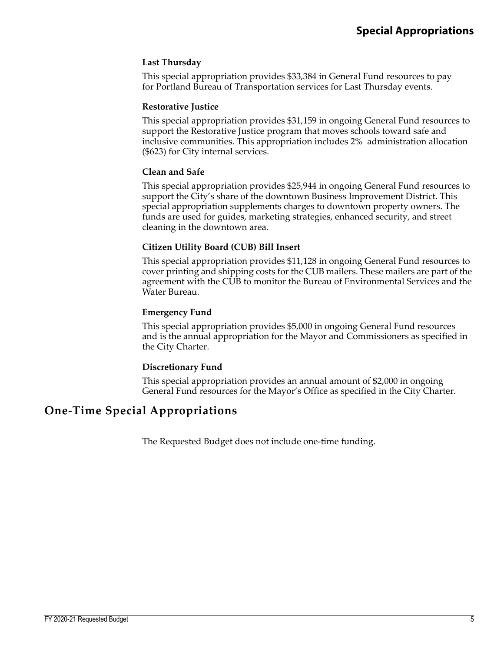# **Last Thursday**

This special appropriation provides \$33,384 in General Fund resources to pay for Portland Bureau of Transportation services for Last Thursday events.

## **Restorative Justice**

This special appropriation provides \$31,159 in ongoing General Fund resources to support the Restorative Justice program that moves schools toward safe and inclusive communities. This appropriation includes 2% administration allocation (\$623) for City internal services.

# **Clean and Safe**

This special appropriation provides \$25,944 in ongoing General Fund resources to support the City's share of the downtown Business Improvement District. This special appropriation supplements charges to downtown property owners. The funds are used for guides, marketing strategies, enhanced security, and street cleaning in the downtown area.

## **Citizen Utility Board (CUB) Bill Insert**

This special appropriation provides \$11,128 in ongoing General Fund resources to cover printing and shipping costs for the CUB mailers. These mailers are part of the agreement with the CUB to monitor the Bureau of Environmental Services and the Water Bureau.

### **Emergency Fund**

This special appropriation provides \$5,000 in ongoing General Fund resources and is the annual appropriation for the Mayor and Commissioners as specified in the City Charter.

### **Discretionary Fund**

This special appropriation provides an annual amount of \$2,000 in ongoing General Fund resources for the Mayor's Office as specified in the City Charter.

# **One-Time Special Appropriations**

The Requested Budget does not include one-time funding.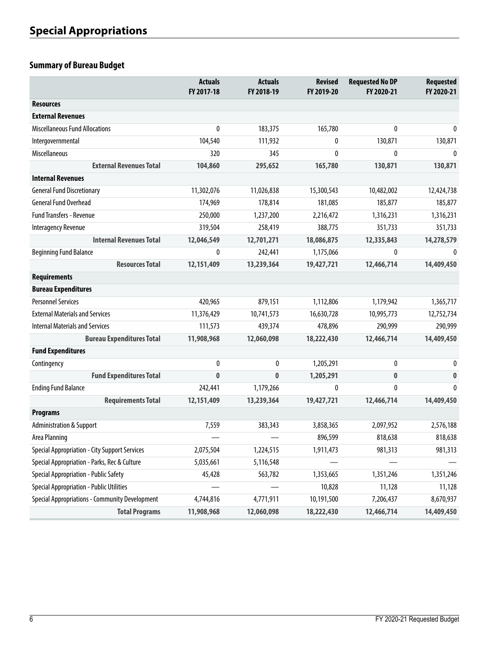# **Summary of Bureau Budget**

|                                                       | <b>Actuals</b><br>FY 2017-18 | <b>Actuals</b><br>FY 2018-19 | <b>Revised</b><br>FY 2019-20 | <b>Requested No DP</b><br>FY 2020-21 | <b>Requested</b><br>FY 2020-21 |
|-------------------------------------------------------|------------------------------|------------------------------|------------------------------|--------------------------------------|--------------------------------|
| <b>Resources</b>                                      |                              |                              |                              |                                      |                                |
| <b>External Revenues</b>                              |                              |                              |                              |                                      |                                |
| <b>Miscellaneous Fund Allocations</b>                 | 0                            | 183,375                      | 165,780                      | 0                                    | 0                              |
| Intergovernmental                                     | 104,540                      | 111,932                      | 0                            | 130,871                              | 130,871                        |
| <b>Miscellaneous</b>                                  | 320                          | 345                          | 0                            | 0                                    | 0                              |
| <b>External Revenues Total</b>                        | 104,860                      | 295,652                      | 165,780                      | 130,871                              | 130,871                        |
| <b>Internal Revenues</b>                              |                              |                              |                              |                                      |                                |
| <b>General Fund Discretionary</b>                     | 11,302,076                   | 11,026,838                   | 15,300,543                   | 10,482,002                           | 12,424,738                     |
| <b>General Fund Overhead</b>                          | 174,969                      | 178,814                      | 181,085                      | 185,877                              | 185,877                        |
| <b>Fund Transfers - Revenue</b>                       | 250,000                      | 1,237,200                    | 2,216,472                    | 1,316,231                            | 1,316,231                      |
| Interagency Revenue                                   | 319,504                      | 258,419                      | 388,775                      | 351,733                              | 351,733                        |
| <b>Internal Revenues Total</b>                        | 12,046,549                   | 12,701,271                   | 18,086,875                   | 12,335,843                           | 14,278,579                     |
| <b>Beginning Fund Balance</b>                         | 0                            | 242,441                      | 1,175,066                    | 0                                    | 0                              |
| <b>Resources Total</b>                                | 12,151,409                   | 13,239,364                   | 19,427,721                   | 12,466,714                           | 14,409,450                     |
| <b>Requirements</b>                                   |                              |                              |                              |                                      |                                |
| <b>Bureau Expenditures</b>                            |                              |                              |                              |                                      |                                |
| <b>Personnel Services</b>                             | 420,965                      | 879,151                      | 1,112,806                    | 1,179,942                            | 1,365,717                      |
| <b>External Materials and Services</b>                | 11,376,429                   | 10,741,573                   | 16,630,728                   | 10,995,773                           | 12,752,734                     |
| <b>Internal Materials and Services</b>                | 111,573                      | 439,374                      | 478,896                      | 290,999                              | 290,999                        |
| <b>Bureau Expenditures Total</b>                      | 11,908,968                   | 12,060,098                   | 18,222,430                   | 12,466,714                           | 14,409,450                     |
| <b>Fund Expenditures</b>                              |                              |                              |                              |                                      |                                |
| Contingency                                           | 0                            | 0                            | 1,205,291                    | 0                                    | 0                              |
| <b>Fund Expenditures Total</b>                        | $\bf{0}$                     | 0                            | 1,205,291                    | $\bf{0}$                             | $\bf{0}$                       |
| <b>Ending Fund Balance</b>                            | 242,441                      | 1,179,266                    | 0                            | 0                                    | 0                              |
| <b>Requirements Total</b>                             | 12,151,409                   | 13,239,364                   | 19,427,721                   | 12,466,714                           | 14,409,450                     |
| <b>Programs</b>                                       |                              |                              |                              |                                      |                                |
| <b>Administration &amp; Support</b>                   | 7,559                        | 383,343                      | 3,858,365                    | 2,097,952                            | 2,576,188                      |
| Area Planning                                         |                              |                              | 896,599                      | 818,638                              | 818,638                        |
| Special Appropriation - City Support Services         | 2,075,504                    | 1,224,515                    | 1,911,473                    | 981,313                              | 981,313                        |
| Special Appropriation - Parks, Rec & Culture          | 5,035,661                    | 5,116,548                    |                              |                                      |                                |
| Special Appropriation - Public Safety                 | 45,428                       | 563,782                      | 1,353,665                    | 1,351,246                            | 1,351,246                      |
| <b>Special Appropriation - Public Utilities</b>       |                              |                              | 10,828                       | 11,128                               | 11,128                         |
| <b>Special Appropriations - Community Development</b> | 4,744,816                    | 4,771,911                    | 10,191,500                   | 7,206,437                            | 8,670,937                      |
| <b>Total Programs</b>                                 | 11,908,968                   | 12,060,098                   | 18,222,430                   | 12,466,714                           | 14,409,450                     |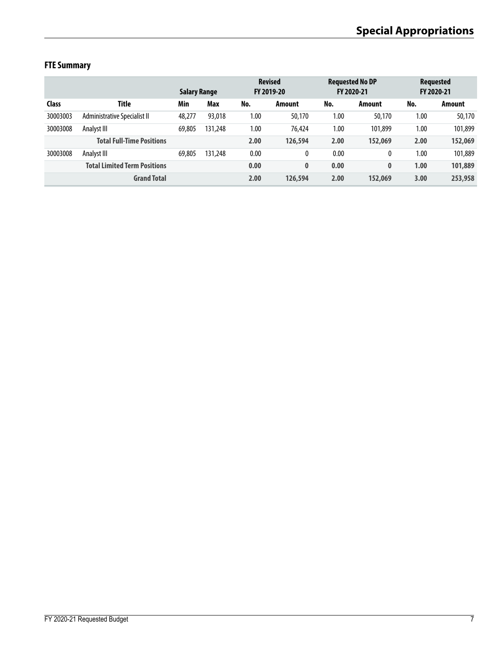# **FTE Summary**

|              |                                     | <b>Salary Range</b> |         |      | <b>Revised</b><br>FY 2019-20 |      | <b>Requested No DP</b><br>FY 2020-21 |      | <b>Requested</b><br>FY 2020-21 |
|--------------|-------------------------------------|---------------------|---------|------|------------------------------|------|--------------------------------------|------|--------------------------------|
| <b>Class</b> | Title                               | Min                 | Max     | No.  | Amount                       | No.  | Amount                               | No.  | Amount                         |
| 30003003     | Administrative Specialist II        | 48.277              | 93,018  | 1.00 | 50,170                       | 1.00 | 50.170                               | 1.00 | 50,170                         |
| 30003008     | Analyst III                         | 69,805              | 131,248 | 1.00 | 76,424                       | 1.00 | 101,899                              | 1.00 | 101,899                        |
|              | <b>Total Full-Time Positions</b>    |                     |         | 2.00 | 126,594                      | 2.00 | 152,069                              | 2.00 | 152,069                        |
| 30003008     | Analyst III                         | 69,805              | 131,248 | 0.00 | 0                            | 0.00 | 0                                    | 1.00 | 101,889                        |
|              | <b>Total Limited Term Positions</b> |                     |         | 0.00 | $\bf{0}$                     | 0.00 | 0                                    | 1.00 | 101,889                        |
|              | <b>Grand Total</b>                  |                     |         | 2.00 | 126,594                      | 2.00 | 152,069                              | 3.00 | 253,958                        |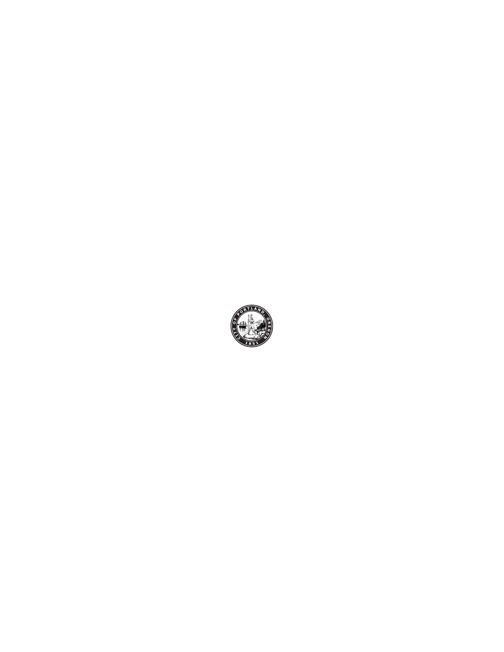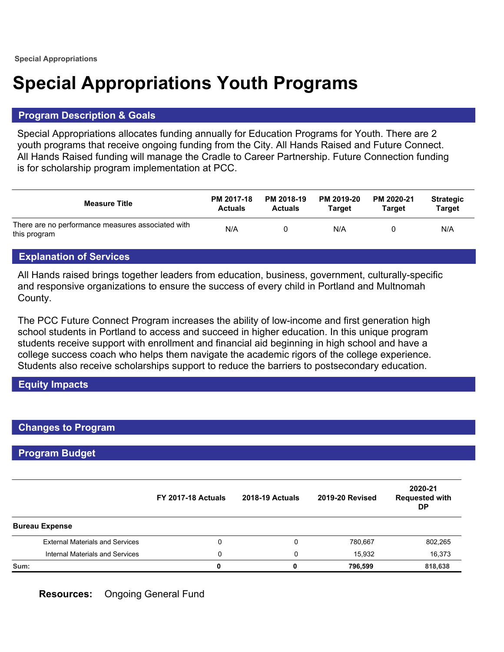# **Special Appropriations Youth Programs**

# **Program Description & Goals**

Special Appropriations allocates funding annually for Education Programs for Youth. There are 2 youth programs that receive ongoing funding from the City. All Hands Raised and Future Connect. All Hands Raised funding will manage the Cradle to Career Partnership. Future Connection funding is for scholarship program implementation at PCC.

| <b>Measure Title</b>                                              | PM 2017-18     | PM 2018-19     | PM 2019-20 | PM 2020-21 | <b>Strategic</b> |
|-------------------------------------------------------------------|----------------|----------------|------------|------------|------------------|
|                                                                   | <b>Actuals</b> | <b>Actuals</b> | Tarɑet     | Tarɑet     | <b>Target</b>    |
| There are no performance measures associated with<br>this program | N/A            |                | N/A        |            | N/A              |

# **Explanation of Services**

All Hands raised brings together leaders from education, business, government, culturally-specific and responsive organizations to ensure the success of every child in Portland and Multnomah County.

The PCC Future Connect Program increases the ability of low-income and first generation high school students in Portland to access and succeed in higher education. In this unique program students receive support with enrollment and financial aid beginning in high school and have a college success coach who helps them navigate the academic rigors of the college experience. Students also receive scholarships support to reduce the barriers to postsecondary education.

# **Equity Impacts**

# **Changes to Program**

# **Program Budget**

|                                        | <b>FY 2017-18 Actuals</b> | <b>2018-19 Actuals</b> | <b>2019-20 Revised</b> | 2020-21<br><b>Requested with</b><br><b>DP</b> |
|----------------------------------------|---------------------------|------------------------|------------------------|-----------------------------------------------|
| <b>Bureau Expense</b>                  |                           |                        |                        |                                               |
| <b>External Materials and Services</b> | 0                         |                        | 780,667                | 802,265                                       |
| Internal Materials and Services        | 0                         |                        | 15,932                 | 16,373                                        |
| Sum:                                   |                           | 0                      | 796,599                | 818,638                                       |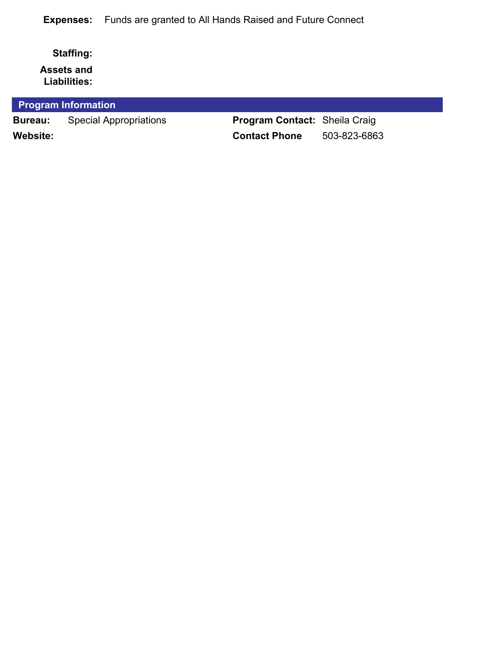**Expenses:** Funds are granted to All Hands Raised and Future Connect

# **Staffing:**

**Assets and Liabilities:**

# **Program Information**

**Bureau:** Special Appropriations **Program Contact:** Sheila Craig **Website: Contact Phone** 503-823-6863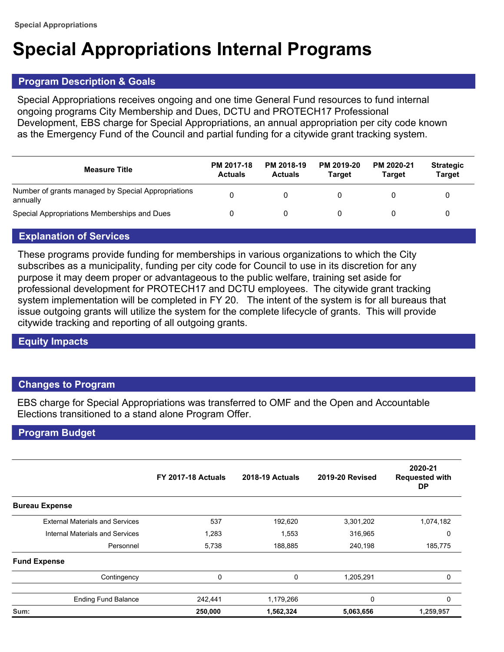# **Special Appropriations Internal Programs**

# **Program Description & Goals**

Special Appropriations receives ongoing and one time General Fund resources to fund internal ongoing programs City Membership and Dues, DCTU and PROTECH17 Professional Development, EBS charge for Special Appropriations, an annual appropriation per city code known as the Emergency Fund of the Council and partial funding for a citywide grant tracking system.

| <b>Measure Title</b>                                           | PM 2017-18<br><b>Actuals</b> | PM 2018-19<br><b>Actuals</b> | PM 2019-20<br>Target | PM 2020-21<br><b>Target</b> | <b>Strategic</b><br><b>Target</b> |
|----------------------------------------------------------------|------------------------------|------------------------------|----------------------|-----------------------------|-----------------------------------|
| Number of grants managed by Special Appropriations<br>annually |                              |                              |                      |                             |                                   |
| Special Appropriations Memberships and Dues                    |                              |                              |                      |                             |                                   |

# **Explanation of Services**

These programs provide funding for memberships in various organizations to which the City subscribes as a municipality, funding per city code for Council to use in its discretion for any purpose it may deem proper or advantageous to the public welfare, training set aside for professional development for PROTECH17 and DCTU employees. The citywide grant tracking system implementation will be completed in FY 20. The intent of the system is for all bureaus that issue outgoing grants will utilize the system for the complete lifecycle of grants. This will provide citywide tracking and reporting of all outgoing grants.

# **Equity Impacts**

# **Changes to Program**

EBS charge for Special Appropriations was transferred to OMF and the Open and Accountable Elections transitioned to a stand alone Program Offer.

# **Program Budget**

|                                        | <b>FY 2017-18 Actuals</b> | <b>2018-19 Actuals</b> | <b>2019-20 Revised</b> | 2020-21<br><b>Requested with</b><br><b>DP</b> |
|----------------------------------------|---------------------------|------------------------|------------------------|-----------------------------------------------|
| <b>Bureau Expense</b>                  |                           |                        |                        |                                               |
| <b>External Materials and Services</b> | 537                       | 192,620                | 3,301,202              | 1,074,182                                     |
| Internal Materials and Services        | 1,283                     | 1,553                  | 316,965                | 0                                             |
| Personnel                              | 5,738                     | 188,885                | 240,198                | 185,775                                       |
| <b>Fund Expense</b>                    |                           |                        |                        |                                               |
| Contingency                            | 0                         | 0                      | 1,205,291              | 0                                             |
| <b>Ending Fund Balance</b>             | 242,441                   | 1,179,266              | 0                      | 0                                             |
| Sum:                                   | 250,000                   | 1,562,324              | 5,063,656              | 1,259,957                                     |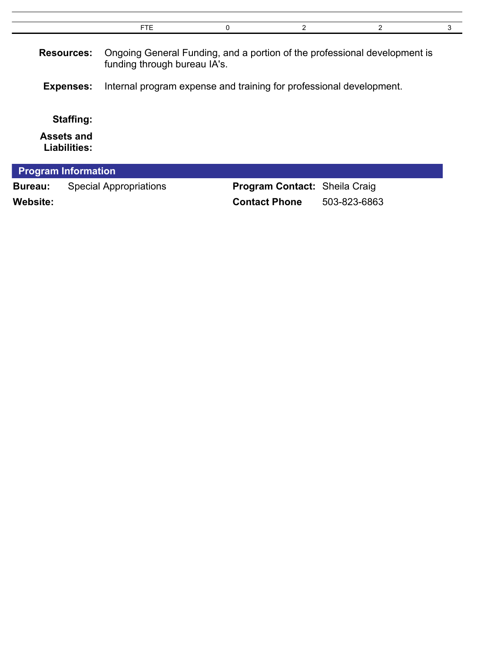|                            |                                   | FTE                                                                 | 0 | 2                                    | 2                                                                         | 3 |  |  |
|----------------------------|-----------------------------------|---------------------------------------------------------------------|---|--------------------------------------|---------------------------------------------------------------------------|---|--|--|
|                            | <b>Resources:</b>                 | funding through bureau IA's.                                        |   |                                      | Ongoing General Funding, and a portion of the professional development is |   |  |  |
|                            | <b>Expenses:</b>                  | Internal program expense and training for professional development. |   |                                      |                                                                           |   |  |  |
|                            | Staffing:                         |                                                                     |   |                                      |                                                                           |   |  |  |
|                            | <b>Assets and</b><br>Liabilities: |                                                                     |   |                                      |                                                                           |   |  |  |
| <b>Program Information</b> |                                   |                                                                     |   |                                      |                                                                           |   |  |  |
| <b>Bureau:</b>             |                                   | <b>Special Appropriations</b>                                       |   | <b>Program Contact: Sheila Craig</b> |                                                                           |   |  |  |
| Website:                   |                                   |                                                                     |   | <b>Contact Phone</b>                 | 503-823-6863                                                              |   |  |  |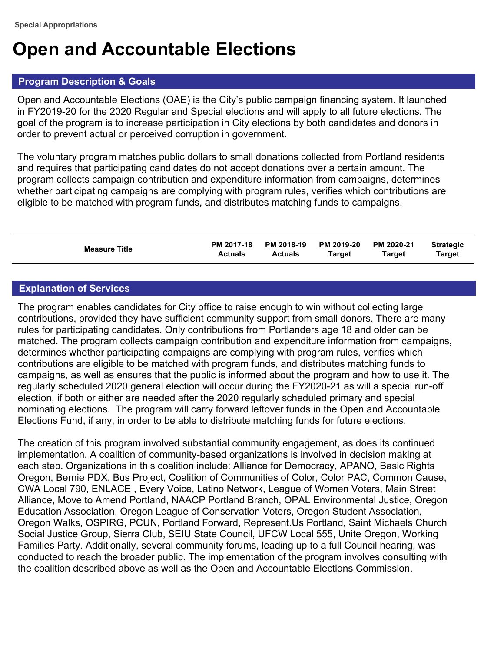# **Open and Accountable Elections**

# **Program Description & Goals**

Open and Accountable Elections (OAE) is the City's public campaign financing system. It launched in FY2019-20 for the 2020 Regular and Special elections and will apply to all future elections. The goal of the program is to increase participation in City elections by both candidates and donors in order to prevent actual or perceived corruption in government.

The voluntary program matches public dollars to small donations collected from Portland residents and requires that participating candidates do not accept donations over a certain amount. The program collects campaign contribution and expenditure information from campaigns, determines whether participating campaigns are complying with program rules, verifies which contributions are eligible to be matched with program funds, and distributes matching funds to campaigns.

| <b>Measure Title</b> | PM 2017-18 | PM 2018-19     | PM 2019-20 | PM 2020-21 | <b>Strategic</b> |
|----------------------|------------|----------------|------------|------------|------------------|
|                      | Actuals    | <b>Actuals</b> | Target     | Target     | <b>Target</b>    |

# **Explanation of Services**

The program enables candidates for City office to raise enough to win without collecting large contributions, provided they have sufficient community support from small donors. There are many rules for participating candidates. Only contributions from Portlanders age 18 and older can be matched. The program collects campaign contribution and expenditure information from campaigns, determines whether participating campaigns are complying with program rules, verifies which contributions are eligible to be matched with program funds, and distributes matching funds to campaigns, as well as ensures that the public is informed about the program and how to use it. The regularly scheduled 2020 general election will occur during the FY2020-21 as will a special run-off election, if both or either are needed after the 2020 regularly scheduled primary and special nominating elections. The program will carry forward leftover funds in the Open and Accountable Elections Fund, if any, in order to be able to distribute matching funds for future elections.

The creation of this program involved substantial community engagement, as does its continued implementation. A coalition of community-based organizations is involved in decision making at each step. Organizations in this coalition include: Alliance for Democracy, APANO, Basic Rights Oregon, Bernie PDX, Bus Project, Coalition of Communities of Color, Color PAC, Common Cause, CWA Local 790, ENLACE , Every Voice, Latino Network, League of Women Voters, Main Street Alliance, Move to Amend Portland, NAACP Portland Branch, OPAL Environmental Justice, Oregon Education Association, Oregon League of Conservation Voters, Oregon Student Association, Oregon Walks, OSPIRG, PCUN, Portland Forward, Represent.Us Portland, Saint Michaels Church Social Justice Group, Sierra Club, SEIU State Council, UFCW Local 555, Unite Oregon, Working Families Party. Additionally, several community forums, leading up to a full Council hearing, was conducted to reach the broader public. The implementation of the program involves consulting with the coalition described above as well as the Open and Accountable Elections Commission.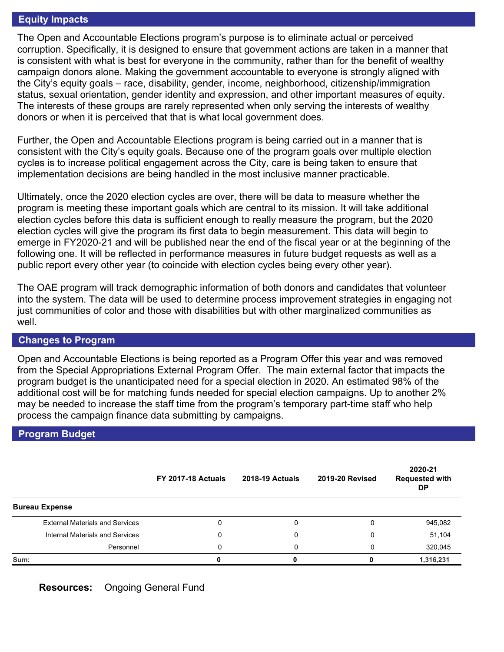# **Equity Impacts**

The Open and Accountable Elections program's purpose is to eliminate actual or perceived corruption. Specifically, it is designed to ensure that government actions are taken in a manner that is consistent with what is best for everyone in the community, rather than for the benefit of wealthy campaign donors alone. Making the government accountable to everyone is strongly aligned with the City's equity goals – race, disability, gender, income, neighborhood, citizenship/immigration status, sexual orientation, gender identity and expression, and other important measures of equity. The interests of these groups are rarely represented when only serving the interests of wealthy donors or when it is perceived that that is what local government does.

Further, the Open and Accountable Elections program is being carried out in a manner that is consistent with the City's equity goals. Because one of the program goals over multiple election cycles is to increase political engagement across the City, care is being taken to ensure that implementation decisions are being handled in the most inclusive manner practicable.

Ultimately, once the 2020 election cycles are over, there will be data to measure whether the program is meeting these important goals which are central to its mission. It will take additional election cycles before this data is sufficient enough to really measure the program, but the 2020 election cycles will give the program its first data to begin measurement. This data will begin to emerge in FY2020-21 and will be published near the end of the fiscal year or at the beginning of the following one. It will be reflected in performance measures in future budget requests as well as a public report every other year (to coincide with election cycles being every other year).

The OAE program will track demographic information of both donors and candidates that volunteer into the system. The data will be used to determine process improvement strategies in engaging not just communities of color and those with disabilities but with other marginalized communities as well.

# **Changes to Program**

Open and Accountable Elections is being reported as a Program Offer this year and was removed from the Special Appropriations External Program Offer. The main external factor that impacts the program budget is the unanticipated need for a special election in 2020. An estimated 98% of the additional cost will be for matching funds needed for special election campaigns. Up to another 2% may be needed to increase the staff time from the program's temporary part-time staff who help process the campaign finance data submitting by campaigns.

# **Program Budget**

|                                        | <b>FY 2017-18 Actuals</b> | <b>2018-19 Actuals</b> | <b>2019-20 Revised</b> | 2020-21<br><b>Requested with</b><br><b>DP</b> |
|----------------------------------------|---------------------------|------------------------|------------------------|-----------------------------------------------|
| <b>Bureau Expense</b>                  |                           |                        |                        |                                               |
| <b>External Materials and Services</b> | 0                         |                        |                        | 945,082                                       |
| Internal Materials and Services        | 0                         |                        | 0                      | 51,104                                        |
| Personnel                              | 0                         |                        |                        | 320,045                                       |
| Sum:                                   | n                         |                        | n                      | 1,316,231                                     |

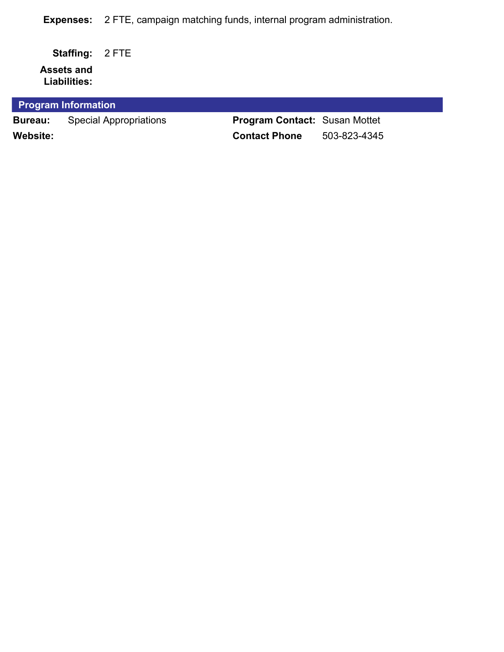**Expenses:** 2 FTE, campaign matching funds, internal program administration.

**Staffing:** 2 FTE

**Assets and Liabilities:**

# **Program Information**

**Bureau:** Special Appropriations **Program Contact:** Susan Mottet **Website: Contact Phone** 503-823-4345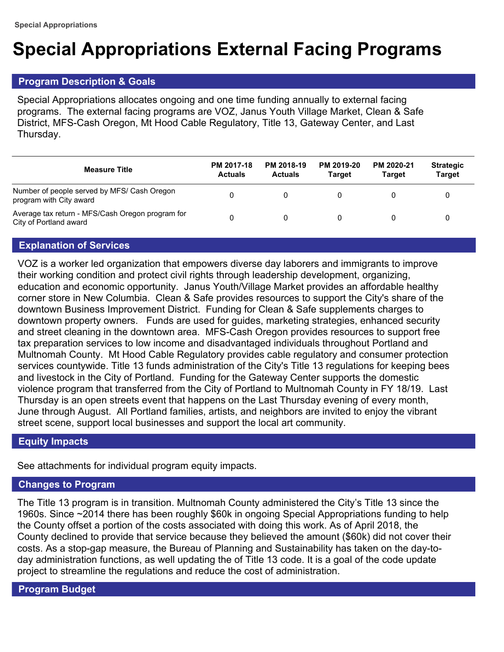# **Special Appropriations External Facing Programs**

# **Program Description & Goals**

Special Appropriations allocates ongoing and one time funding annually to external facing programs. The external facing programs are VOZ, Janus Youth Village Market, Clean & Safe District, MFS-Cash Oregon, Mt Hood Cable Regulatory, Title 13, Gateway Center, and Last Thursday.

| <b>Measure Title</b>                                                       | PM 2017-18<br><b>Actuals</b> | PM 2018-19<br><b>Actuals</b> | PM 2019-20<br><b>Target</b> | PM 2020-21<br>Target | <b>Strategic</b><br><b>Target</b> |
|----------------------------------------------------------------------------|------------------------------|------------------------------|-----------------------------|----------------------|-----------------------------------|
| Number of people served by MFS/ Cash Oregon<br>program with City award     |                              | 0                            |                             |                      |                                   |
| Average tax return - MFS/Cash Oregon program for<br>City of Portland award |                              | 0                            |                             |                      |                                   |

# **Explanation of Services**

VOZ is a worker led organization that empowers diverse day laborers and immigrants to improve their working condition and protect civil rights through leadership development, organizing, education and economic opportunity. Janus Youth/Village Market provides an affordable healthy corner store in New Columbia. Clean & Safe provides resources to support the City's share of the downtown Business Improvement District. Funding for Clean & Safe supplements charges to downtown property owners. Funds are used for guides, marketing strategies, enhanced security and street cleaning in the downtown area. MFS-Cash Oregon provides resources to support free tax preparation services to low income and disadvantaged individuals throughout Portland and Multnomah County. Mt Hood Cable Regulatory provides cable regulatory and consumer protection services countywide. Title 13 funds administration of the City's Title 13 regulations for keeping bees and livestock in the City of Portland. Funding for the Gateway Center supports the domestic violence program that transferred from the City of Portland to Multnomah County in FY 18/19. Last Thursday is an open streets event that happens on the Last Thursday evening of every month, June through August. All Portland families, artists, and neighbors are invited to enjoy the vibrant street scene, support local businesses and support the local art community.

# **Equity Impacts**

See attachments for individual program equity impacts.

# **Changes to Program**

The Title 13 program is in transition. Multnomah County administered the City's Title 13 since the 1960s. Since ~2014 there has been roughly \$60k in ongoing Special Appropriations funding to help the County offset a portion of the costs associated with doing this work. As of April 2018, the County declined to provide that service because they believed the amount (\$60k) did not cover their costs. As a stop-gap measure, the Bureau of Planning and Sustainability has taken on the day-today administration functions, as well updating the of Title 13 code. It is a goal of the code update project to streamline the regulations and reduce the cost of administration.

# **Program Budget**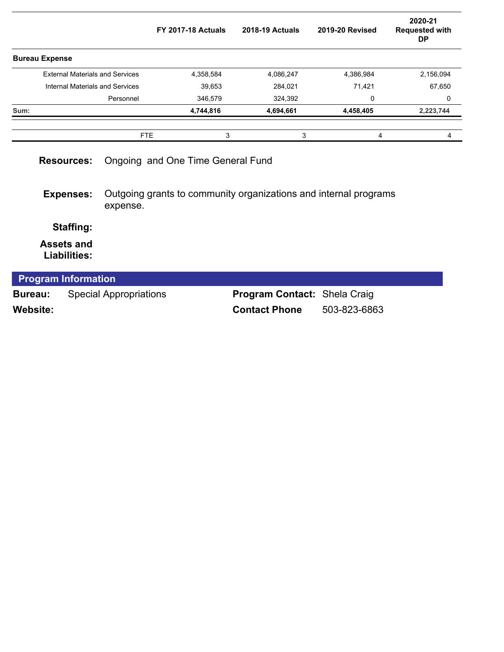|                                          |                                                                                                                                                            | <b>FY 2017-18 Actuals</b> | <b>2018-19 Actuals</b>              | <b>2019-20 Revised</b> | 2020-21<br><b>Requested with</b><br><b>DP</b> |  |
|------------------------------------------|------------------------------------------------------------------------------------------------------------------------------------------------------------|---------------------------|-------------------------------------|------------------------|-----------------------------------------------|--|
| <b>Bureau Expense</b>                    |                                                                                                                                                            |                           |                                     |                        |                                               |  |
|                                          | <b>External Materials and Services</b>                                                                                                                     | 4,358,584                 | 4,086,247                           | 4,386,984              | 2,156,094                                     |  |
|                                          | <b>Internal Materials and Services</b>                                                                                                                     | 39,653                    | 284,021                             | 71,421                 | 67,650                                        |  |
|                                          | Personnel                                                                                                                                                  | 346,579                   | 324,392                             | 0                      | 0                                             |  |
| Sum:                                     |                                                                                                                                                            | 4,744,816                 | 4,694,661                           | 4,458,405              | 2,223,744                                     |  |
|                                          |                                                                                                                                                            |                           |                                     |                        |                                               |  |
|                                          | <b>FTE</b>                                                                                                                                                 | 3                         | 3                                   | 4                      | 4                                             |  |
|                                          | Ongoing and One Time General Fund<br><b>Resources:</b><br>Outgoing grants to community organizations and internal programs<br><b>Expenses:</b><br>expense. |                           |                                     |                        |                                               |  |
| <b>Staffing:</b>                         |                                                                                                                                                            |                           |                                     |                        |                                               |  |
| <b>Assets and</b><br><b>Liabilities:</b> |                                                                                                                                                            |                           |                                     |                        |                                               |  |
| <b>Program Information</b>               |                                                                                                                                                            |                           |                                     |                        |                                               |  |
| <b>Bureau:</b>                           | <b>Special Appropriations</b>                                                                                                                              |                           | <b>Program Contact: Shela Craig</b> |                        |                                               |  |

**Website: Contact Phone** 503-823-6863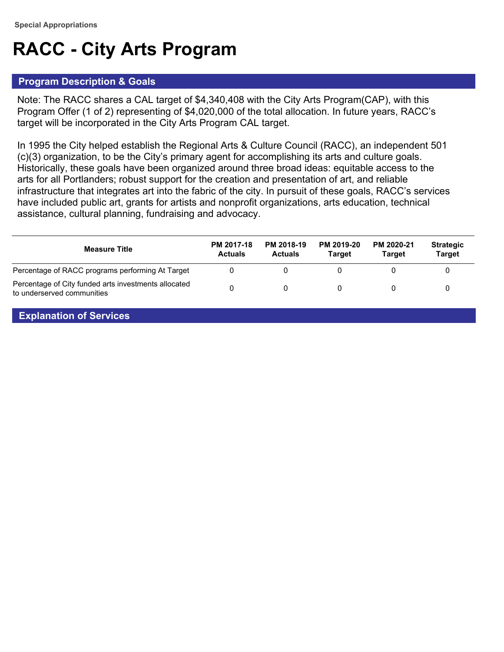# **RACC - City Arts Program**

# **Program Description & Goals**

Note: The RACC shares a CAL target of \$4,340,408 with the City Arts Program(CAP), with this Program Offer (1 of 2) representing of \$4,020,000 of the total allocation. In future years, RACC's target will be incorporated in the City Arts Program CAL target.

In 1995 the City helped establish the Regional Arts & Culture Council (RACC), an independent 501 (c)(3) organization, to be the City's primary agent for accomplishing its arts and culture goals. Historically, these goals have been organized around three broad ideas: equitable access to the arts for all Portlanders; robust support for the creation and presentation of art, and reliable infrastructure that integrates art into the fabric of the city. In pursuit of these goals, RACC's services have included public art, grants for artists and nonprofit organizations, arts education, technical assistance, cultural planning, fundraising and advocacy.

| <b>Measure Title</b>                                                               | PM 2017-18<br><b>Actuals</b> | PM 2018-19<br><b>Actuals</b> | PM 2019-20<br>Tarɑet | PM 2020-21<br>Target | <b>Strategic</b><br><b>Target</b> |
|------------------------------------------------------------------------------------|------------------------------|------------------------------|----------------------|----------------------|-----------------------------------|
| Percentage of RACC programs performing At Target                                   |                              |                              |                      |                      |                                   |
| Percentage of City funded arts investments allocated<br>to underserved communities |                              | 0                            |                      |                      |                                   |

**Explanation of Services**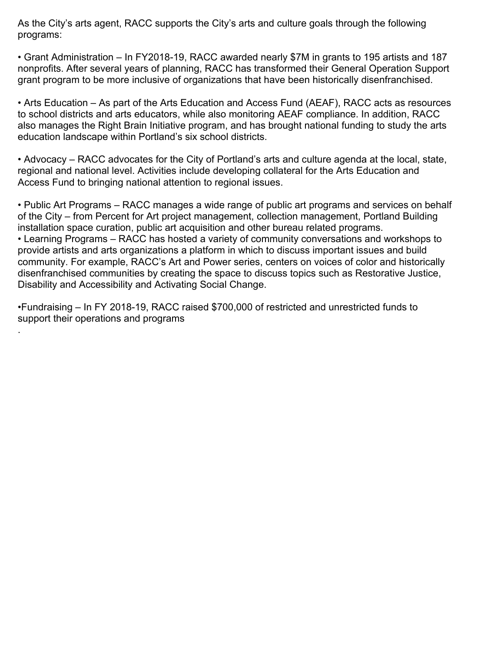As the City's arts agent, RACC supports the City's arts and culture goals through the following programs:

• Grant Administration – In FY2018-19, RACC awarded nearly \$7M in grants to 195 artists and 187 nonprofits. After several years of planning, RACC has transformed their General Operation Support grant program to be more inclusive of organizations that have been historically disenfranchised.

• Arts Education – As part of the Arts Education and Access Fund (AEAF), RACC acts as resources to school districts and arts educators, while also monitoring AEAF compliance. In addition, RACC also manages the Right Brain Initiative program, and has brought national funding to study the arts education landscape within Portland's six school districts.

• Advocacy – RACC advocates for the City of Portland's arts and culture agenda at the local, state, regional and national level. Activities include developing collateral for the Arts Education and Access Fund to bringing national attention to regional issues.

• Public Art Programs – RACC manages a wide range of public art programs and services on behalf of the City – from Percent for Art project management, collection management, Portland Building installation space curation, public art acquisition and other bureau related programs. • Learning Programs – RACC has hosted a variety of community conversations and workshops to provide artists and arts organizations a platform in which to discuss important issues and build community. For example, RACC's Art and Power series, centers on voices of color and historically disenfranchised communities by creating the space to discuss topics such as Restorative Justice, Disability and Accessibility and Activating Social Change.

•Fundraising – In FY 2018-19, RACC raised \$700,000 of restricted and unrestricted funds to support their operations and programs

.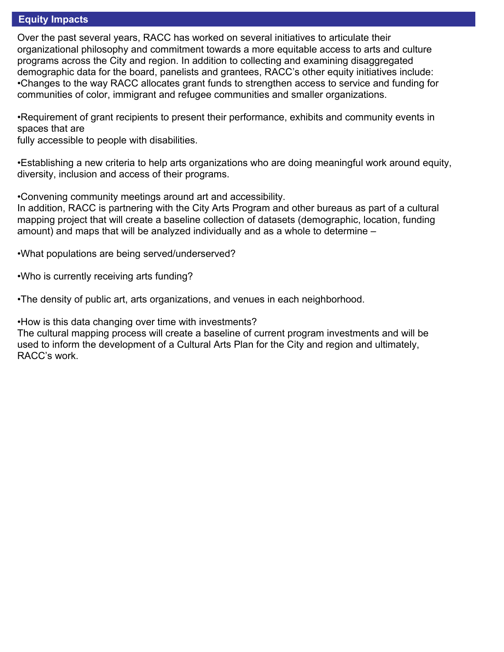# **Equity Impacts**

Over the past several years, RACC has worked on several initiatives to articulate their organizational philosophy and commitment towards a more equitable access to arts and culture programs across the City and region. In addition to collecting and examining disaggregated demographic data for the board, panelists and grantees, RACC's other equity initiatives include: •Changes to the way RACC allocates grant funds to strengthen access to service and funding for communities of color, immigrant and refugee communities and smaller organizations.

•Requirement of grant recipients to present their performance, exhibits and community events in spaces that are

fully accessible to people with disabilities.

•Establishing a new criteria to help arts organizations who are doing meaningful work around equity, diversity, inclusion and access of their programs.

•Convening community meetings around art and accessibility.

In addition, RACC is partnering with the City Arts Program and other bureaus as part of a cultural mapping project that will create a baseline collection of datasets (demographic, location, funding amount) and maps that will be analyzed individually and as a whole to determine –

•What populations are being served/underserved?

•Who is currently receiving arts funding?

•The density of public art, arts organizations, and venues in each neighborhood.

•How is this data changing over time with investments?

The cultural mapping process will create a baseline of current program investments and will be used to inform the development of a Cultural Arts Plan for the City and region and ultimately, RACC's work.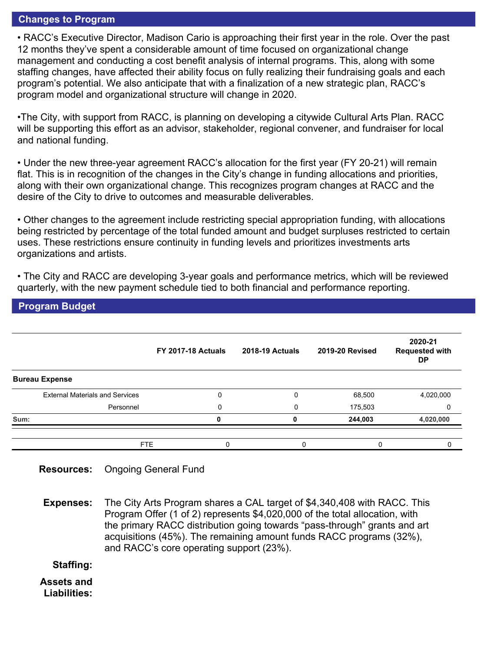# **Changes to Program**

• RACC's Executive Director, Madison Cario is approaching their first year in the role. Over the past 12 months they've spent a considerable amount of time focused on organizational change management and conducting a cost benefit analysis of internal programs. This, along with some staffing changes, have affected their ability focus on fully realizing their fundraising goals and each program's potential. We also anticipate that with a finalization of a new strategic plan, RACC's program model and organizational structure will change in 2020.

•The City, with support from RACC, is planning on developing a citywide Cultural Arts Plan. RACC will be supporting this effort as an advisor, stakeholder, regional convener, and fundraiser for local and national funding.

• Under the new three-year agreement RACC's allocation for the first year (FY 20-21) will remain flat. This is in recognition of the changes in the City's change in funding allocations and priorities, along with their own organizational change. This recognizes program changes at RACC and the desire of the City to drive to outcomes and measurable deliverables.

• Other changes to the agreement include restricting special appropriation funding, with allocations being restricted by percentage of the total funded amount and budget surpluses restricted to certain uses. These restrictions ensure continuity in funding levels and prioritizes investments arts organizations and artists.

• The City and RACC are developing 3-year goals and performance metrics, which will be reviewed quarterly, with the new payment schedule tied to both financial and performance reporting.

|                                        | <b>FY 2017-18 Actuals</b> | <b>2018-19 Actuals</b> | <b>2019-20 Revised</b> | 2020-21<br><b>Requested with</b><br><b>DP</b> |
|----------------------------------------|---------------------------|------------------------|------------------------|-----------------------------------------------|
| <b>Bureau Expense</b>                  |                           |                        |                        |                                               |
| <b>External Materials and Services</b> | ი                         |                        | 68,500                 | 4,020,000                                     |
| Personnel                              | 0                         |                        | 175,503                | 0                                             |
| Sum:                                   | ŋ                         |                        | 244,003                | 4,020,000                                     |
|                                        |                           |                        |                        |                                               |
| <b>FTE</b>                             | O                         |                        |                        |                                               |

# **Program Budget**

**Resources:** Ongoing General Fund

# **Staffing:**

## **Assets and Liabilities:**

**Expenses:** The City Arts Program shares a CAL target of \$4,340,408 with RACC. This Program Offer (1 of 2) represents \$4,020,000 of the total allocation, with the primary RACC distribution going towards "pass-through" grants and art acquisitions (45%). The remaining amount funds RACC programs (32%), and RACC's core operating support (23%).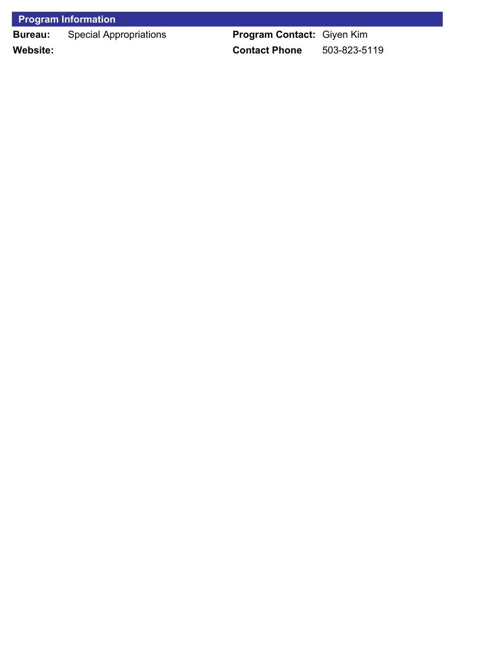| <b>Program Information</b> |                        |                                   |              |  |  |
|----------------------------|------------------------|-----------------------------------|--------------|--|--|
| <b>Bureau:</b>             | Special Appropriations | <b>Program Contact:</b> Giyen Kim |              |  |  |
| Website:                   |                        | <b>Contact Phone</b>              | 503-823-5119 |  |  |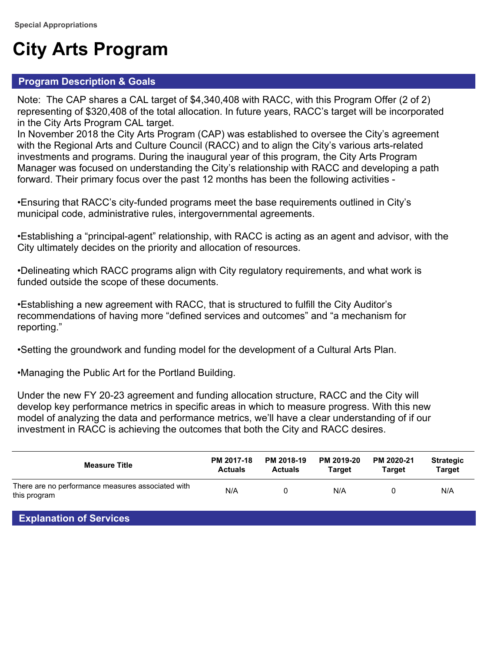# **City Arts Program**

# **Program Description & Goals**

Note: The CAP shares a CAL target of \$4,340,408 with RACC, with this Program Offer (2 of 2) representing of \$320,408 of the total allocation. In future years, RACC's target will be incorporated in the City Arts Program CAL target.

In November 2018 the City Arts Program (CAP) was established to oversee the City's agreement with the Regional Arts and Culture Council (RACC) and to align the City's various arts-related investments and programs. During the inaugural year of this program, the City Arts Program Manager was focused on understanding the City's relationship with RACC and developing a path forward. Their primary focus over the past 12 months has been the following activities -

•Ensuring that RACC's city-funded programs meet the base requirements outlined in City's municipal code, administrative rules, intergovernmental agreements.

•Establishing a "principal-agent" relationship, with RACC is acting as an agent and advisor, with the City ultimately decides on the priority and allocation of resources.

•Delineating which RACC programs align with City regulatory requirements, and what work is funded outside the scope of these documents.

•Establishing a new agreement with RACC, that is structured to fulfill the City Auditor's recommendations of having more "defined services and outcomes" and "a mechanism for reporting."

•Setting the groundwork and funding model for the development of a Cultural Arts Plan.

•Managing the Public Art for the Portland Building.

Under the new FY 20-23 agreement and funding allocation structure, RACC and the City will develop key performance metrics in specific areas in which to measure progress. With this new model of analyzing the data and performance metrics, we'll have a clear understanding of if our investment in RACC is achieving the outcomes that both the City and RACC desires.

| <b>Measure Title</b>                                              | PM 2017-18<br><b>Actuals</b> | PM 2018-19<br><b>Actuals</b> | PM 2019-20<br><b>Target</b> | PM 2020-21<br><b>Target</b> | <b>Strategic</b><br><b>Target</b> |
|-------------------------------------------------------------------|------------------------------|------------------------------|-----------------------------|-----------------------------|-----------------------------------|
| There are no performance measures associated with<br>this program | N/A                          | 0                            | N/A                         |                             | N/A                               |
| <b>Explanation of Services</b>                                    |                              |                              |                             |                             |                                   |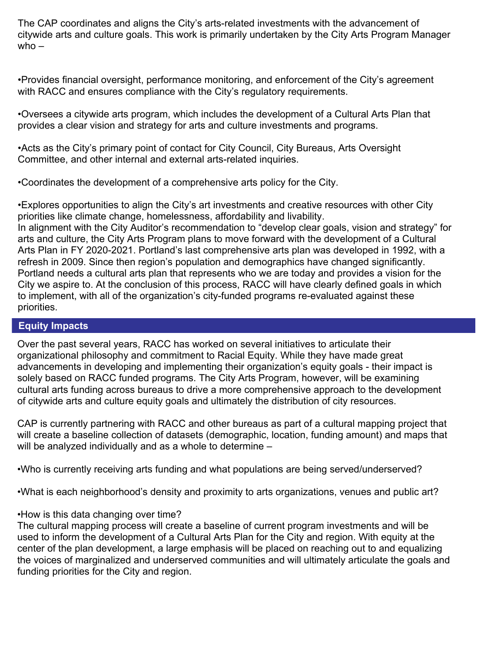The CAP coordinates and aligns the City's arts-related investments with the advancement of citywide arts and culture goals. This work is primarily undertaken by the City Arts Program Manager  $who -$ 

•Provides financial oversight, performance monitoring, and enforcement of the City's agreement with RACC and ensures compliance with the City's regulatory requirements.

•Oversees a citywide arts program, which includes the development of a Cultural Arts Plan that provides a clear vision and strategy for arts and culture investments and programs.

•Acts as the City's primary point of contact for City Council, City Bureaus, Arts Oversight Committee, and other internal and external arts-related inquiries.

•Coordinates the development of a comprehensive arts policy for the City.

•Explores opportunities to align the City's art investments and creative resources with other City priorities like climate change, homelessness, affordability and livability.

In alignment with the City Auditor's recommendation to "develop clear goals, vision and strategy" for arts and culture, the City Arts Program plans to move forward with the development of a Cultural Arts Plan in FY 2020-2021. Portland's last comprehensive arts plan was developed in 1992, with a refresh in 2009. Since then region's population and demographics have changed significantly. Portland needs a cultural arts plan that represents who we are today and provides a vision for the City we aspire to. At the conclusion of this process, RACC will have clearly defined goals in which to implement, with all of the organization's city-funded programs re-evaluated against these priorities.

# **Equity Impacts**

Over the past several years, RACC has worked on several initiatives to articulate their organizational philosophy and commitment to Racial Equity. While they have made great advancements in developing and implementing their organization's equity goals - their impact is solely based on RACC funded programs. The City Arts Program, however, will be examining cultural arts funding across bureaus to drive a more comprehensive approach to the development of citywide arts and culture equity goals and ultimately the distribution of city resources.

CAP is currently partnering with RACC and other bureaus as part of a cultural mapping project that will create a baseline collection of datasets (demographic, location, funding amount) and maps that will be analyzed individually and as a whole to determine –

•Who is currently receiving arts funding and what populations are being served/underserved?

•What is each neighborhood's density and proximity to arts organizations, venues and public art?

# •How is this data changing over time?

The cultural mapping process will create a baseline of current program investments and will be used to inform the development of a Cultural Arts Plan for the City and region. With equity at the center of the plan development, a large emphasis will be placed on reaching out to and equalizing the voices of marginalized and underserved communities and will ultimately articulate the goals and funding priorities for the City and region.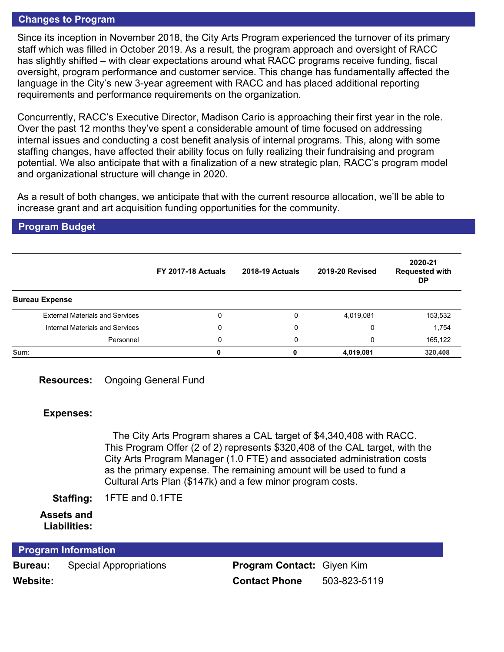# **Changes to Program**

Since its inception in November 2018, the City Arts Program experienced the turnover of its primary staff which was filled in October 2019. As a result, the program approach and oversight of RACC has slightly shifted – with clear expectations around what RACC programs receive funding, fiscal oversight, program performance and customer service. This change has fundamentally affected the language in the City's new 3-year agreement with RACC and has placed additional reporting requirements and performance requirements on the organization.

Concurrently, RACC's Executive Director, Madison Cario is approaching their first year in the role. Over the past 12 months they've spent a considerable amount of time focused on addressing internal issues and conducting a cost benefit analysis of internal programs. This, along with some staffing changes, have affected their ability focus on fully realizing their fundraising and program potential. We also anticipate that with a finalization of a new strategic plan, RACC's program model and organizational structure will change in 2020.

As a result of both changes, we anticipate that with the current resource allocation, we'll be able to increase grant and art acquisition funding opportunities for the community.

# **Program Budget**

|                                        | <b>FY 2017-18 Actuals</b> | <b>2018-19 Actuals</b> | <b>2019-20 Revised</b> | 2020-21<br><b>Requested with</b><br>DP |
|----------------------------------------|---------------------------|------------------------|------------------------|----------------------------------------|
| <b>Bureau Expense</b>                  |                           |                        |                        |                                        |
| <b>External Materials and Services</b> | 0                         | 0                      | 4,019,081              | 153,532                                |
| Internal Materials and Services        | 0                         | 0                      | 0                      | 1,754                                  |
| Personnel                              | 0                         | 0                      | 0                      | 165,122                                |
| Sum:                                   | ŋ                         | n                      | 4,019,081              | 320,408                                |

# **Resources:** Ongoing General Fund

### **Expenses:**

 The City Arts Program shares a CAL target of \$4,340,408 with RACC. This Program Offer (2 of 2) represents \$320,408 of the CAL target, with the City Arts Program Manager (1.0 FTE) and associated administration costs as the primary expense. The remaining amount will be used to fund a Cultural Arts Plan (\$147k) and a few minor program costs.

**Staffing:** 1FTE and 0.1FTE

### **Assets and Liabilities:**

|                | <b>Program Information</b> |                                   |              |
|----------------|----------------------------|-----------------------------------|--------------|
| <b>Bureau:</b> | Special Appropriations     | <b>Program Contact:</b> Giyen Kim |              |
| Website:       |                            | <b>Contact Phone</b>              | 503-823-5119 |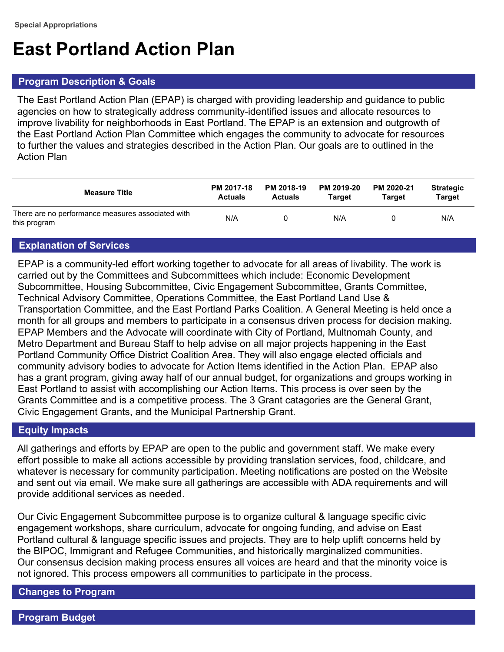# **East Portland Action Plan**

# **Program Description & Goals**

The East Portland Action Plan (EPAP) is charged with providing leadership and guidance to public agencies on how to strategically address community-identified issues and allocate resources to improve livability for neighborhoods in East Portland. The EPAP is an extension and outgrowth of the East Portland Action Plan Committee which engages the community to advocate for resources to further the values and strategies described in the Action Plan. Our goals are to outlined in the Action Plan

| <b>Measure Title</b>                                              | PM 2017-18     | PM 2018-19     | PM 2019-20 | PM 2020-21 | <b>Strategic</b> |
|-------------------------------------------------------------------|----------------|----------------|------------|------------|------------------|
|                                                                   | <b>Actuals</b> | <b>Actuals</b> | Target     | Target     | <b>Target</b>    |
| There are no performance measures associated with<br>this program | N/A            |                | N/A        |            | N/A              |

# **Explanation of Services**

EPAP is a community-led effort working together to advocate for all areas of livability. The work is carried out by the Committees and Subcommittees which include: Economic Development Subcommittee, Housing Subcommittee, Civic Engagement Subcommittee, Grants Committee, Technical Advisory Committee, Operations Committee, the East Portland Land Use & Transportation Committee, and the East Portland Parks Coalition. A General Meeting is held once a month for all groups and members to participate in a consensus driven process for decision making. EPAP Members and the Advocate will coordinate with City of Portland, Multnomah County, and Metro Department and Bureau Staff to help advise on all major projects happening in the East Portland Community Office District Coalition Area. They will also engage elected officials and community advisory bodies to advocate for Action Items identified in the Action Plan. EPAP also has a grant program, giving away half of our annual budget, for organizations and groups working in East Portland to assist with accomplishing our Action Items. This process is over seen by the Grants Committee and is a competitive process. The 3 Grant catagories are the General Grant, Civic Engagement Grants, and the Municipal Partnership Grant.

# **Equity Impacts**

All gatherings and efforts by EPAP are open to the public and government staff. We make every effort possible to make all actions accessible by providing translation services, food, childcare, and whatever is necessary for community participation. Meeting notifications are posted on the Website and sent out via email. We make sure all gatherings are accessible with ADA requirements and will provide additional services as needed.

Our Civic Engagement Subcommittee purpose is to organize cultural & language specific civic engagement workshops, share curriculum, advocate for ongoing funding, and advise on East Portland cultural & language specific issues and projects. They are to help uplift concerns held by the BIPOC, Immigrant and Refugee Communities, and historically marginalized communities. Our consensus decision making process ensures all voices are heard and that the minority voice is not ignored. This process empowers all communities to participate in the process.

# **Changes to Program**

**Program Budget**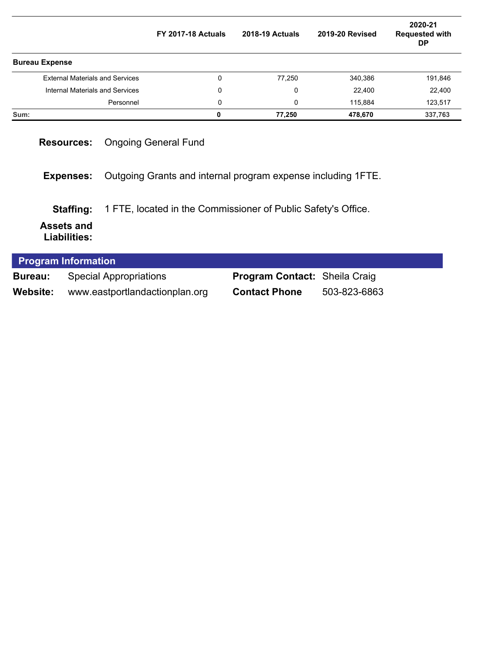|                                        | <b>FY 2017-18 Actuals</b> | <b>2018-19 Actuals</b> | <b>2019-20 Revised</b> | 2020-21<br><b>Requested with</b><br><b>DP</b> |
|----------------------------------------|---------------------------|------------------------|------------------------|-----------------------------------------------|
| <b>Bureau Expense</b>                  |                           |                        |                        |                                               |
| <b>External Materials and Services</b> | 0                         | 77,250                 | 340,386                | 191,846                                       |
| Internal Materials and Services        | 0                         | 0                      | 22,400                 | 22,400                                        |
| Personnel                              | 0                         | 0                      | 115.884                | 123,517                                       |
| Sum:                                   | 0                         | 77,250                 | 478,670                | 337,763                                       |

| <b>Resources:</b> | <b>Ongoing General Fund</b> |
|-------------------|-----------------------------|
|-------------------|-----------------------------|

**Expenses:** Outgoing Grants and internal program expense including 1FTE.

**Staffing:** 1 FTE, located in the Commissioner of Public Safety's Office.

# **Assets and**

**Liabilities:**

| <b>Program Information</b> |                                |                                      |              |  |  |
|----------------------------|--------------------------------|--------------------------------------|--------------|--|--|
| <b>Bureau:</b>             | Special Appropriations         | <b>Program Contact: Sheila Craig</b> |              |  |  |
| Website:                   | www.eastportlandactionplan.org | <b>Contact Phone</b>                 | 503-823-6863 |  |  |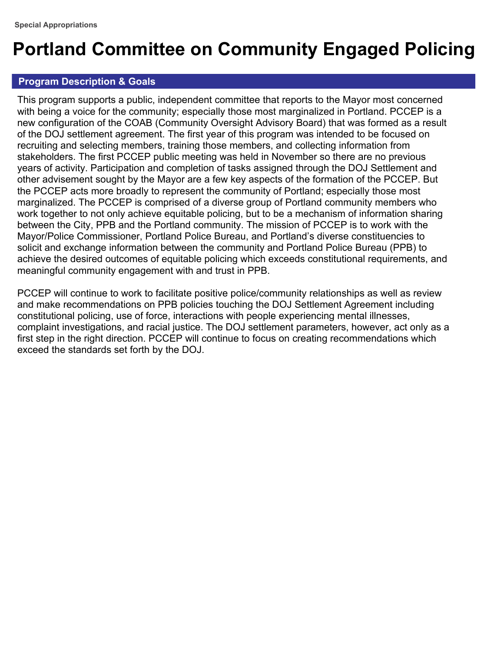# **Portland Committee on Community Engaged Policing**

# **Program Description & Goals**

This program supports a public, independent committee that reports to the Mayor most concerned with being a voice for the community; especially those most marginalized in Portland. PCCEP is a new configuration of the COAB (Community Oversight Advisory Board) that was formed as a result of the DOJ settlement agreement. The first year of this program was intended to be focused on recruiting and selecting members, training those members, and collecting information from stakeholders. The first PCCEP public meeting was held in November so there are no previous years of activity. Participation and completion of tasks assigned through the DOJ Settlement and other advisement sought by the Mayor are a few key aspects of the formation of the PCCEP. But the PCCEP acts more broadly to represent the community of Portland; especially those most marginalized. The PCCEP is comprised of a diverse group of Portland community members who work together to not only achieve equitable policing, but to be a mechanism of information sharing between the City, PPB and the Portland community. The mission of PCCEP is to work with the Mayor/Police Commissioner, Portland Police Bureau, and Portland's diverse constituencies to solicit and exchange information between the community and Portland Police Bureau (PPB) to achieve the desired outcomes of equitable policing which exceeds constitutional requirements, and meaningful community engagement with and trust in PPB.

PCCEP will continue to work to facilitate positive police/community relationships as well as review and make recommendations on PPB policies touching the DOJ Settlement Agreement including constitutional policing, use of force, interactions with people experiencing mental illnesses, complaint investigations, and racial justice. The DOJ settlement parameters, however, act only as a first step in the right direction. PCCEP will continue to focus on creating recommendations which exceed the standards set forth by the DOJ.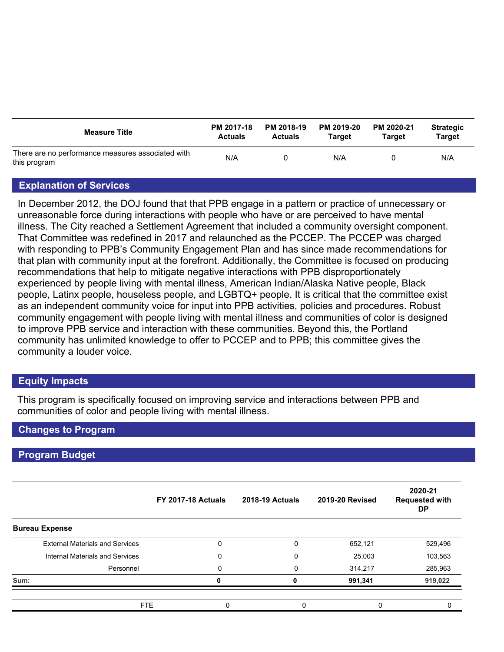| <b>Measure Title</b>                                              | PM 2017-18     | PM 2018-19     | PM 2019-20 | PM 2020-21 | <b>Strategic</b> |
|-------------------------------------------------------------------|----------------|----------------|------------|------------|------------------|
|                                                                   | <b>Actuals</b> | <b>Actuals</b> | Target     | Tarɑet     | <b>Target</b>    |
| There are no performance measures associated with<br>this program | N/A            |                | N/A        |            | N/A              |

# **Explanation of Services**

In December 2012, the DOJ found that that PPB engage in a pattern or practice of unnecessary or unreasonable force during interactions with people who have or are perceived to have mental illness. The City reached a Settlement Agreement that included a community oversight component. That Committee was redefined in 2017 and relaunched as the PCCEP. The PCCEP was charged with responding to PPB's Community Engagement Plan and has since made recommendations for that plan with community input at the forefront. Additionally, the Committee is focused on producing recommendations that help to mitigate negative interactions with PPB disproportionately experienced by people living with mental illness, American Indian/Alaska Native people, Black people, Latinx people, houseless people, and LGBTQ+ people. It is critical that the committee exist as an independent community voice for input into PPB activities, policies and procedures. Robust community engagement with people living with mental illness and communities of color is designed to improve PPB service and interaction with these communities. Beyond this, the Portland community has unlimited knowledge to offer to PCCEP and to PPB; this committee gives the community a louder voice.

# **Equity Impacts**

This program is specifically focused on improving service and interactions between PPB and communities of color and people living with mental illness.

# **Changes to Program**

# **Program Budget**

|                                        | <b>FY 2017-18 Actuals</b> | <b>2018-19 Actuals</b> | <b>2019-20 Revised</b> | 2020-21<br><b>Requested with</b><br><b>DP</b> |
|----------------------------------------|---------------------------|------------------------|------------------------|-----------------------------------------------|
| <b>Bureau Expense</b>                  |                           |                        |                        |                                               |
| <b>External Materials and Services</b> |                           | 0                      | 652,121                | 529,496                                       |
| Internal Materials and Services        | 0                         | 0                      | 25,003                 | 103,563                                       |
| Personnel                              | 0                         | 0                      | 314,217                | 285,963                                       |
| Sum:                                   | o                         | n                      | 991,341                | 919,022                                       |
| <b>FTE</b>                             | $\Omega$                  |                        |                        |                                               |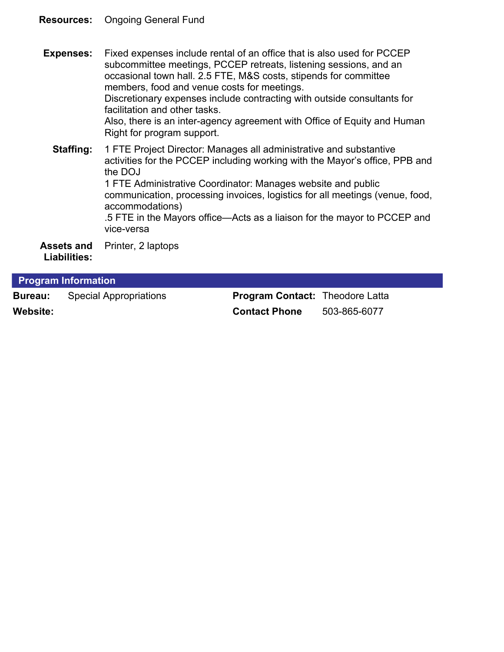# **Resources:** Ongoing General Fund

**Expenses:** Fixed expenses include rental of an office that is also used for PCCEP subcommittee meetings, PCCEP retreats, listening sessions, and an occasional town hall. 2.5 FTE, M&S costs, stipends for committee members, food and venue costs for meetings. Discretionary expenses include contracting with outside consultants for facilitation and other tasks. Also, there is an inter-agency agreement with Office of Equity and Human Right for program support. **Staffing:** 1 FTE Project Director: Manages all administrative and substantive activities for the PCCEP including working with the Mayor's office, PPB and the DOJ 1 FTE Administrative Coordinator: Manages website and public communication, processing invoices, logistics for all meetings (venue, food, accommodations) .5 FTE in the Mayors office—Acts as a liaison for the mayor to PCCEP and vice-versa **Assets and** Printer, 2 laptops

# **Program Information**

**Liabilities:**

**Bureau:** Special Appropriations **Program Contact:** Theodore Latta **Website: Contact Phone** 503-865-6077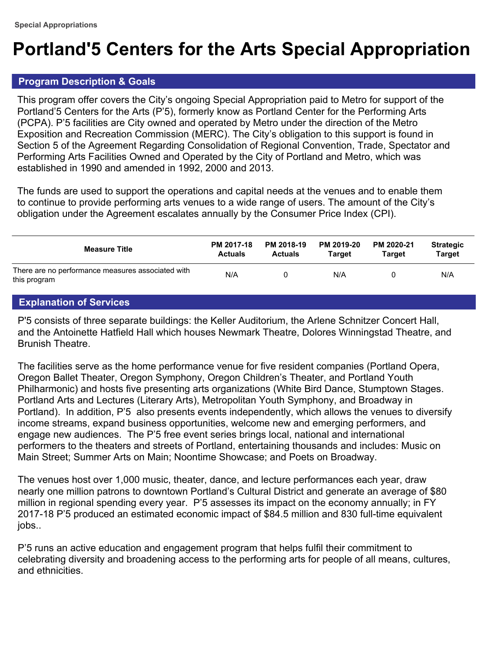# **Portland'5 Centers for the Arts Special Appropriation**

# **Program Description & Goals**

This program offer covers the City's ongoing Special Appropriation paid to Metro for support of the Portland'5 Centers for the Arts (P'5), formerly know as Portland Center for the Performing Arts (PCPA). P'5 facilities are City owned and operated by Metro under the direction of the Metro Exposition and Recreation Commission (MERC). The City's obligation to this support is found in Section 5 of the Agreement Regarding Consolidation of Regional Convention, Trade, Spectator and Performing Arts Facilities Owned and Operated by the City of Portland and Metro, which was established in 1990 and amended in 1992, 2000 and 2013.

The funds are used to support the operations and capital needs at the venues and to enable them to continue to provide performing arts venues to a wide range of users. The amount of the City's obligation under the Agreement escalates annually by the Consumer Price Index (CPI).

| <b>Measure Title</b>                                              | PM 2017-18     | PM 2018-19     | PM 2019-20 | PM 2020-21 | <b>Strategic</b> |
|-------------------------------------------------------------------|----------------|----------------|------------|------------|------------------|
|                                                                   | <b>Actuals</b> | <b>Actuals</b> | Target     | Tarɑet     | Target           |
| There are no performance measures associated with<br>this program | N/A            |                | N/A        |            | N/A              |

# **Explanation of Services**

P'5 consists of three separate buildings: the Keller Auditorium, the Arlene Schnitzer Concert Hall, and the Antoinette Hatfield Hall which houses Newmark Theatre, Dolores Winningstad Theatre, and Brunish Theatre.

The facilities serve as the home performance venue for five resident companies (Portland Opera, Oregon Ballet Theater, Oregon Symphony, Oregon Children's Theater, and Portland Youth Philharmonic) and hosts five presenting arts organizations (White Bird Dance, Stumptown Stages. Portland Arts and Lectures (Literary Arts), Metropolitan Youth Symphony, and Broadway in Portland). In addition, P'5 also presents events independently, which allows the venues to diversify income streams, expand business opportunities, welcome new and emerging performers, and engage new audiences. The P'5 free event series brings local, national and international performers to the theaters and streets of Portland, entertaining thousands and includes: Music on Main Street; Summer Arts on Main; Noontime Showcase; and Poets on Broadway.

The venues host over 1,000 music, theater, dance, and lecture performances each year, draw nearly one million patrons to downtown Portland's Cultural District and generate an average of \$80 million in regional spending every year. P'5 assesses its impact on the economy annually; in FY 2017-18 P'5 produced an estimated economic impact of \$84.5 million and 830 full-time equivalent jobs..

P'5 runs an active education and engagement program that helps fulfil their commitment to celebrating diversity and broadening access to the performing arts for people of all means, cultures, and ethnicities.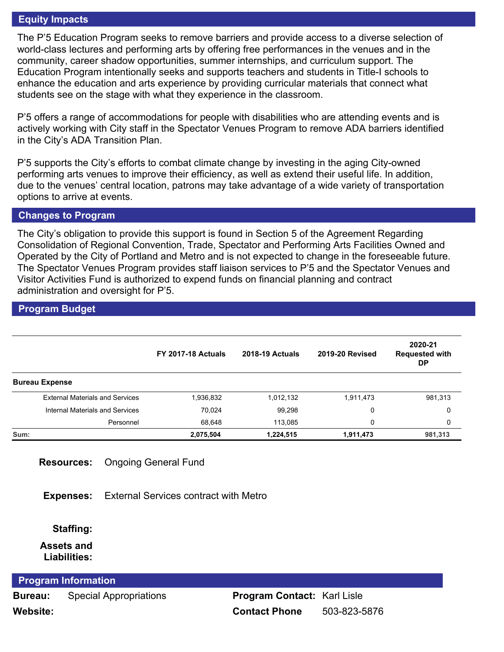# **Equity Impacts**

The P'5 Education Program seeks to remove barriers and provide access to a diverse selection of world-class lectures and performing arts by offering free performances in the venues and in the community, career shadow opportunities, summer internships, and curriculum support. The Education Program intentionally seeks and supports teachers and students in Title-I schools to enhance the education and arts experience by providing curricular materials that connect what students see on the stage with what they experience in the classroom.

P'5 offers a range of accommodations for people with disabilities who are attending events and is actively working with City staff in the Spectator Venues Program to remove ADA barriers identified in the City's ADA Transition Plan.

P'5 supports the City's efforts to combat climate change by investing in the aging City-owned performing arts venues to improve their efficiency, as well as extend their useful life. In addition, due to the venues' central location, patrons may take advantage of a wide variety of transportation options to arrive at events.

# **Changes to Program**

The City's obligation to provide this support is found in Section 5 of the Agreement Regarding Consolidation of Regional Convention, Trade, Spectator and Performing Arts Facilities Owned and Operated by the City of Portland and Metro and is not expected to change in the foreseeable future. The Spectator Venues Program provides staff liaison services to P'5 and the Spectator Venues and Visitor Activities Fund is authorized to expend funds on financial planning and contract administration and oversight for P'5.

# **Program Budget**

|                                        | <b>FY 2017-18 Actuals</b> | <b>2018-19 Actuals</b> | <b>2019-20 Revised</b> | 2020-21<br><b>Requested with</b><br><b>DP</b> |
|----------------------------------------|---------------------------|------------------------|------------------------|-----------------------------------------------|
| <b>Bureau Expense</b>                  |                           |                        |                        |                                               |
| <b>External Materials and Services</b> | 1,936,832                 | 1,012,132              | 1,911,473              | 981,313                                       |
| Internal Materials and Services        | 70.024                    | 99,298                 | 0                      | 0                                             |
| Personnel                              | 68,648                    | 113,085                | 0                      | 0                                             |
| Sum:                                   | 2,075,504                 | 1,224,515              | 1,911,473              | 981,313                                       |

# **Resources:** Ongoing General Fund

**Expenses:** External Services contract with Metro

**Staffing:**

**Assets and Liabilities:**

# **Program Information**

**Bureau:** Special Appropriations **Program Contact:** Karl Lisle

**Website: Contact Phone** 503-823-5876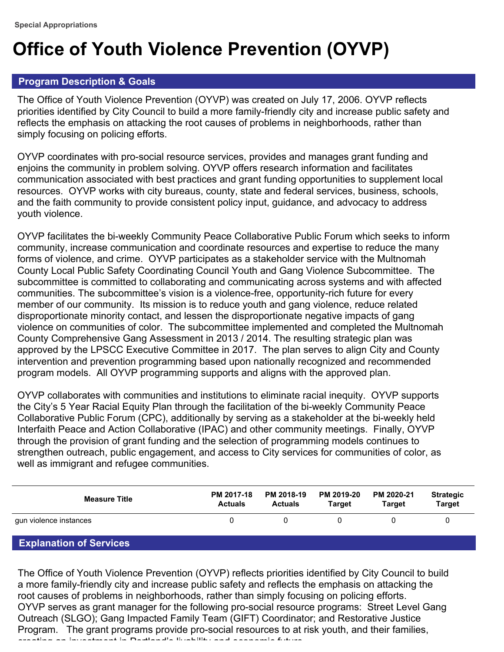# **Office of Youth Violence Prevention (OYVP)**

# **Program Description & Goals**

The Office of Youth Violence Prevention (OYVP) was created on July 17, 2006. OYVP reflects priorities identified by City Council to build a more family-friendly city and increase public safety and reflects the emphasis on attacking the root causes of problems in neighborhoods, rather than simply focusing on policing efforts.

OYVP coordinates with pro-social resource services, provides and manages grant funding and enjoins the community in problem solving. OYVP offers research information and facilitates communication associated with best practices and grant funding opportunities to supplement local resources. OYVP works with city bureaus, county, state and federal services, business, schools, and the faith community to provide consistent policy input, guidance, and advocacy to address youth violence.

OYVP facilitates the bi-weekly Community Peace Collaborative Public Forum which seeks to inform community, increase communication and coordinate resources and expertise to reduce the many forms of violence, and crime. OYVP participates as a stakeholder service with the Multnomah County Local Public Safety Coordinating Council Youth and Gang Violence Subcommittee. The subcommittee is committed to collaborating and communicating across systems and with affected communities. The subcommittee's vision is a violence-free, opportunity-rich future for every member of our community. Its mission is to reduce youth and gang violence, reduce related disproportionate minority contact, and lessen the disproportionate negative impacts of gang violence on communities of color. The subcommittee implemented and completed the Multnomah County Comprehensive Gang Assessment in 2013 / 2014. The resulting strategic plan was approved by the LPSCC Executive Committee in 2017. The plan serves to align City and County intervention and prevention programming based upon nationally recognized and recommended program models. All OYVP programming supports and aligns with the approved plan.

OYVP collaborates with communities and institutions to eliminate racial inequity. OYVP supports the City's 5 Year Racial Equity Plan through the facilitation of the bi-weekly Community Peace Collaborative Public Forum (CPC), additionally by serving as a stakeholder at the bi-weekly held Interfaith Peace and Action Collaborative (IPAC) and other community meetings. Finally, OYVP through the provision of grant funding and the selection of programming models continues to strengthen outreach, public engagement, and access to City services for communities of color, as well as immigrant and refugee communities.

| <b>Measure Title</b>           | PM 2017-18<br><b>Actuals</b> | PM 2018-19<br><b>Actuals</b> | PM 2019-20<br><b>Target</b> | PM 2020-21<br><b>Target</b> | <b>Strategic</b><br><b>Target</b> |
|--------------------------------|------------------------------|------------------------------|-----------------------------|-----------------------------|-----------------------------------|
| gun violence instances         | 0                            |                              |                             |                             | 0                                 |
| <b>Explanation of Services</b> |                              |                              |                             |                             |                                   |

The Office of Youth Violence Prevention (OYVP) reflects priorities identified by City Council to build a more family-friendly city and increase public safety and reflects the emphasis on attacking the root causes of problems in neighborhoods, rather than simply focusing on policing efforts. OYVP serves as grant manager for the following pro-social resource programs: Street Level Gang Outreach (SLGO); Gang Impacted Family Team (GIFT) Coordinator; and Restorative Justice Program. The grant programs provide pro-social resources to at risk youth, and their families, creating an investment in Portland's livability and economic future.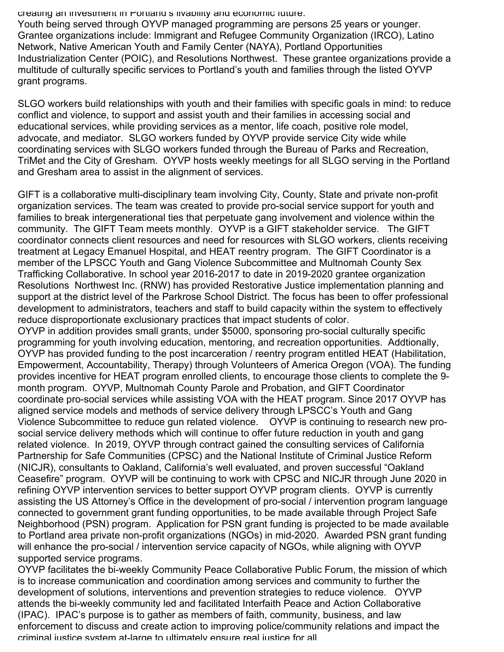creating an investment in Portland's livability and economic future.

Youth being served through OYVP managed programming are persons 25 years or younger. Grantee organizations include: Immigrant and Refugee Community Organization (IRCO), Latino Network, Native American Youth and Family Center (NAYA), Portland Opportunities Industrialization Center (POIC), and Resolutions Northwest. These grantee organizations provide a multitude of culturally specific services to Portland's youth and families through the listed OYVP grant programs.

SLGO workers build relationships with youth and their families with specific goals in mind: to reduce conflict and violence, to support and assist youth and their families in accessing social and educational services, while providing services as a mentor, life coach, positive role model, advocate, and mediator. SLGO workers funded by OYVP provide service City wide while coordinating services with SLGO workers funded through the Bureau of Parks and Recreation, TriMet and the City of Gresham. OYVP hosts weekly meetings for all SLGO serving in the Portland and Gresham area to assist in the alignment of services.

GIFT is a collaborative multi-disciplinary team involving City, County, State and private non-profit organization services. The team was created to provide pro-social service support for youth and families to break intergenerational ties that perpetuate gang involvement and violence within the community. The GIFT Team meets monthly. OYVP is a GIFT stakeholder service. The GIFT coordinator connects client resources and need for resources with SLGO workers, clients receiving treatment at Legacy Emanuel Hospital, and HEAT reentry program. The GIFT Coordinator is a member of the LPSCC Youth and Gang Violence Subcommittee and Multnomah County Sex Trafficking Collaborative. In school year 2016-2017 to date in 2019-2020 grantee organization Resolutions Northwest Inc. (RNW) has provided Restorative Justice implementation planning and support at the district level of the Parkrose School District. The focus has been to offer professional development to administrators, teachers and staff to build capacity within the system to effectively reduce disproportionate exclusionary practices that impact students of color.

OYVP in addition provides small grants, under \$5000, sponsoring pro-social culturally specific programming for youth involving education, mentoring, and recreation opportunities. Addtionally, OYVP has provided funding to the post incarceration / reentry program entitled HEAT (Habilitation, Empowerment, Accountability, Therapy) through Volunteers of America Oregon (VOA). The funding provides incentive for HEAT program enrolled clients, to encourage those clients to complete the 9 month program. OYVP, Multnomah County Parole and Probation, and GIFT Coordinator coordinate pro-social services while assisting VOA with the HEAT program. Since 2017 OYVP has aligned service models and methods of service delivery through LPSCC's Youth and Gang Violence Subcommittee to reduce gun related violence. OYVP is continuing to research new prosocial service delivery methods which will continue to offer future reduction in youth and gang related violence. In 2019, OYVP through contract gained the consulting services of California Partnership for Safe Communities (CPSC) and the National Institute of Criminal Justice Reform (NICJR), consultants to Oakland, California's well evaluated, and proven successful "Oakland Ceasefire" program. OYVP will be continuing to work with CPSC and NICJR through June 2020 in refining OYVP intervention services to better support OYVP program clients. OYVP is currently assisting the US Attorney's Office in the development of pro-social / intervention program language connected to government grant funding opportunities, to be made available through Project Safe Neighborhood (PSN) program. Application for PSN grant funding is projected to be made available to Portland area private non-profit organizations (NGOs) in mid-2020. Awarded PSN grant funding will enhance the pro-social / intervention service capacity of NGOs, while aligning with OYVP supported service programs.

OYVP facilitates the bi-weekly Community Peace Collaborative Public Forum, the mission of which is to increase communication and coordination among services and community to further the development of solutions, interventions and prevention strategies to reduce violence. OYVP attends the bi-weekly community led and facilitated Interfaith Peace and Action Collaborative (IPAC). IPAC's purpose is to gather as members of faith, community, business, and law enforcement to discuss and create action to improving police/community relations and impact the criminal justice system at-large to ultimately ensure real justice for all.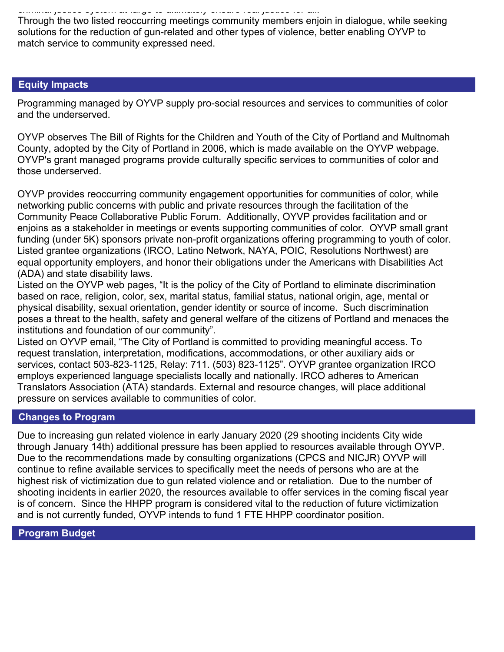criminal justice system at-large to ultimately ensure real justice for all.

Through the two listed reoccurring meetings community members enjoin in dialogue, while seeking solutions for the reduction of gun-related and other types of violence, better enabling OYVP to match service to community expressed need.

# **Equity Impacts**

Programming managed by OYVP supply pro-social resources and services to communities of color and the underserved.

OYVP observes The Bill of Rights for the Children and Youth of the City of Portland and Multnomah County, adopted by the City of Portland in 2006, which is made available on the OYVP webpage. OYVP's grant managed programs provide culturally specific services to communities of color and those underserved.

OYVP provides reoccurring community engagement opportunities for communities of color, while networking public concerns with public and private resources through the facilitation of the Community Peace Collaborative Public Forum. Additionally, OYVP provides facilitation and or enjoins as a stakeholder in meetings or events supporting communities of color. OYVP small grant funding (under 5K) sponsors private non-profit organizations offering programming to youth of color. Listed grantee organizations (IRCO, Latino Network, NAYA, POIC, Resolutions Northwest) are equal opportunity employers, and honor their obligations under the Americans with Disabilities Act (ADA) and state disability laws.

Listed on the OYVP web pages, "It is the policy of the City of Portland to eliminate discrimination based on race, religion, color, sex, marital status, familial status, national origin, age, mental or physical disability, sexual orientation, gender identity or source of income. Such discrimination poses a threat to the health, safety and general welfare of the citizens of Portland and menaces the institutions and foundation of our community".

Listed on OYVP email, "The City of Portland is committed to providing meaningful access. To request translation, interpretation, modifications, accommodations, or other auxiliary aids or services, contact 503-823-1125, Relay: 711. (503) 823-1125". OYVP grantee organization IRCO employs experienced language specialists locally and nationally. IRCO adheres to American Translators Association (ATA) standards. External and resource changes, will place additional pressure on services available to communities of color.

# **Changes to Program**

Due to increasing gun related violence in early January 2020 (29 shooting incidents City wide through January 14th) additional pressure has been applied to resources available through OYVP. Due to the recommendations made by consulting organizations (CPCS and NICJR) OYVP will continue to refine available services to specifically meet the needs of persons who are at the highest risk of victimization due to gun related violence and or retaliation. Due to the number of shooting incidents in earlier 2020, the resources available to offer services in the coming fiscal year is of concern. Since the HHPP program is considered vital to the reduction of future victimization and is not currently funded, OYVP intends to fund 1 FTE HHPP coordinator position.

# **Program Budget**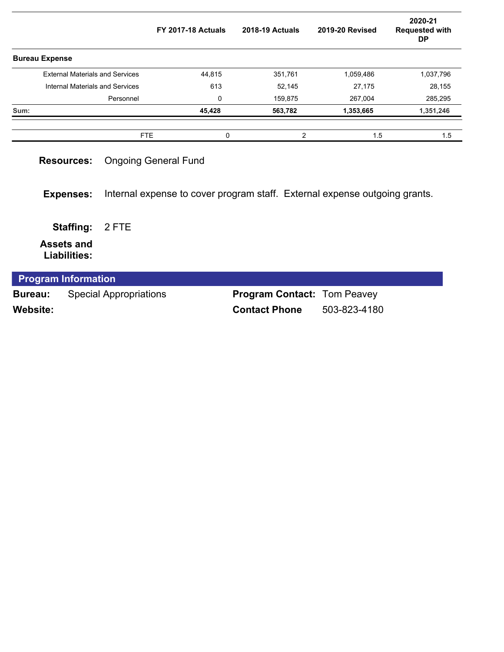|                                        |           | <b>FY 2017-18 Actuals</b>                                                  | <b>2018-19 Actuals</b> | <b>2019-20 Revised</b> | 2020-21<br><b>Requested with</b><br><b>DP</b> |
|----------------------------------------|-----------|----------------------------------------------------------------------------|------------------------|------------------------|-----------------------------------------------|
| <b>Bureau Expense</b>                  |           |                                                                            |                        |                        |                                               |
| <b>External Materials and Services</b> |           | 44,815                                                                     | 351,761                | 1,059,486              | 1,037,796                                     |
| <b>Internal Materials and Services</b> |           | 613                                                                        | 52,145                 | 27,175                 | 28,155                                        |
|                                        | Personnel | 0                                                                          | 159,875                | 267,004                | 285,295                                       |
| Sum:                                   |           | 45,428                                                                     | 563,782                | 1,353,665              | 1,351,246                                     |
| <b>Resources:</b>                      |           | <b>Ongoing General Fund</b>                                                |                        |                        |                                               |
| <b>Expenses:</b>                       |           | Internal expense to cover program staff. External expense outgoing grants. |                        |                        |                                               |
| <b>Staffing:</b>                       | 2 FTE     |                                                                            |                        |                        |                                               |
| <b>Assets and</b><br>                  |           |                                                                            |                        |                        |                                               |

**Liabilities:**

# **Program Information**

**Bureau:** Special Appropriations **Program Contact:** Tom Peavey

**Website: Contact Phone** 503-823-4180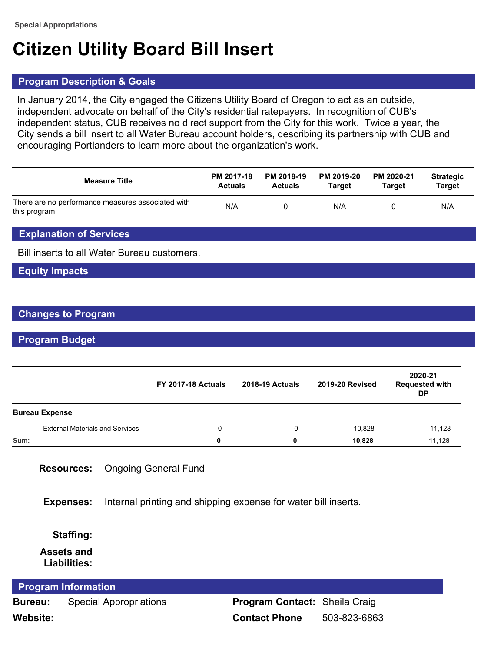# **Citizen Utility Board Bill Insert**

# **Program Description & Goals**

In January 2014, the City engaged the Citizens Utility Board of Oregon to act as an outside, independent advocate on behalf of the City's residential ratepayers. In recognition of CUB's independent status, CUB receives no direct support from the City for this work. Twice a year, the City sends a bill insert to all Water Bureau account holders, describing its partnership with CUB and encouraging Portlanders to learn more about the organization's work.

| <b>Measure Title</b>                                              | PM 2017-18     | PM 2018-19     | PM 2019-20 | PM 2020-21 | <b>Strategic</b> |
|-------------------------------------------------------------------|----------------|----------------|------------|------------|------------------|
|                                                                   | <b>Actuals</b> | <b>Actuals</b> | Target     | Target     | <b>Target</b>    |
| There are no performance measures associated with<br>this program | N/A            |                | N/A        |            | N/A              |

**Explanation of Services**

Bill inserts to all Water Bureau customers.

**Equity Impacts**

# **Changes to Program**

**Program Budget**

|      |                                        | <b>FY 2017-18 Actuals</b> | <b>2018-19 Actuals</b> | <b>2019-20 Revised</b> | 2020-21<br><b>Requested with</b><br><b>DP</b> |
|------|----------------------------------------|---------------------------|------------------------|------------------------|-----------------------------------------------|
|      | <b>Bureau Expense</b>                  |                           |                        |                        |                                               |
|      | <b>External Materials and Services</b> |                           |                        | 10.828                 | 11,128                                        |
| Sum: |                                        | ŋ                         | n                      | 10.828                 | 11,128                                        |

**Resources:** Ongoing General Fund

**Expenses:** Internal printing and shipping expense for water bill inserts.

**Staffing:**

**Assets and Liabilities:**

# **Program Information**

**Bureau:** Special Appropriations **Program Contact:** Sheila Craig

**Website: Contact Phone** 503-823-6863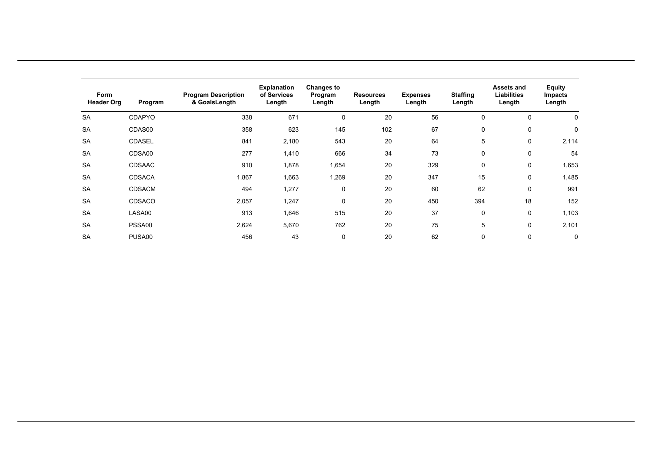| Form<br><b>Header Org</b> | Program       | <b>Program Description</b><br>& GoalsLength | <b>Explanation</b><br>of Services<br>Length | <b>Changes to</b><br>Program<br>Length | <b>Resources</b><br>Length | <b>Expenses</b><br>Length | <b>Staffing</b><br>Length | Assets and<br><b>Liabilities</b><br>Length | <b>Equity</b><br>Impacts<br>Length |
|---------------------------|---------------|---------------------------------------------|---------------------------------------------|----------------------------------------|----------------------------|---------------------------|---------------------------|--------------------------------------------|------------------------------------|
| <b>SA</b>                 | <b>CDAPYO</b> | 338                                         | 671                                         | 0                                      | 20                         | 56                        | 0                         | 0                                          | 0                                  |
| <b>SA</b>                 | CDAS00        | 358                                         | 623                                         | 145                                    | 102                        | 67                        | $\mathbf 0$               | $\Omega$                                   | 0                                  |
| <b>SA</b>                 | <b>CDASEL</b> | 841                                         | 2,180                                       | 543                                    | 20                         | 64                        | 5                         | 0                                          | 2,114                              |
| <b>SA</b>                 | CDSA00        | 277                                         | 1,410                                       | 666                                    | 34                         | 73                        | 0                         | 0                                          | 54                                 |
| <b>SA</b>                 | <b>CDSAAC</b> | 910                                         | 1,878                                       | 1,654                                  | 20                         | 329                       | 0                         | 0                                          | 1,653                              |
| <b>SA</b>                 | <b>CDSACA</b> | 1,867                                       | 1,663                                       | 1,269                                  | 20                         | 347                       | 15                        | $\Omega$                                   | 1,485                              |
| <b>SA</b>                 | <b>CDSACM</b> | 494                                         | 1,277                                       | 0                                      | 20                         | 60                        | 62                        | 0                                          | 991                                |
| <b>SA</b>                 | <b>CDSACO</b> | 2,057                                       | 1,247                                       | 0                                      | 20                         | 450                       | 394                       | 18                                         | 152                                |
| <b>SA</b>                 | LASA00        | 913                                         | 1,646                                       | 515                                    | 20                         | 37                        | $\mathbf 0$               | $\mathbf 0$                                | 1,103                              |
| <b>SA</b>                 | PSSA00        | 2,624                                       | 5,670                                       | 762                                    | 20                         | 75                        | 5                         | 0                                          | 2,101                              |
| <b>SA</b>                 | PUSA00        | 456                                         | 43                                          | 0                                      | 20                         | 62                        | 0                         | 0                                          | 0                                  |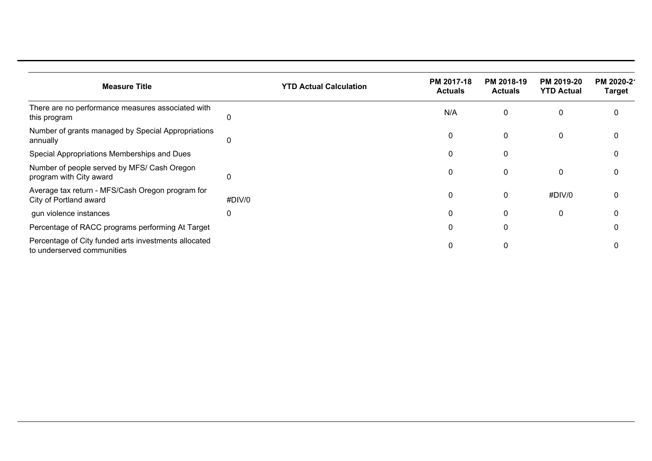| <b>Measure Title</b>                                                               |        | <b>YTD Actual Calculation</b> | PM 2017-18<br><b>Actuals</b> | PM 2018-19<br><b>Actuals</b> | PM 2019-20<br><b>YTD Actual</b> | PM 2020-21<br><b>Target</b> |
|------------------------------------------------------------------------------------|--------|-------------------------------|------------------------------|------------------------------|---------------------------------|-----------------------------|
| There are no performance measures associated with<br>this program                  |        |                               | N/A                          | $\mathbf{0}$                 | 0                               | $\Omega$                    |
| Number of grants managed by Special Appropriations<br>annually                     | 0      |                               | 0                            | 0                            | 0                               | 0                           |
| Special Appropriations Memberships and Dues                                        |        |                               | 0                            | 0                            |                                 |                             |
| Number of people served by MFS/ Cash Oregon<br>program with City award             | 0      |                               | 0                            | $\mathbf{0}$                 | $\mathbf{0}$                    | $\Omega$                    |
| Average tax return - MFS/Cash Oregon program for<br>City of Portland award         | #DIV/0 |                               | 0                            | $\mathbf{0}$                 | #DIV/0                          |                             |
| gun violence instances                                                             | 0      |                               | 0                            | $\mathbf{0}$                 | 0                               | $\Omega$                    |
| Percentage of RACC programs performing At Target                                   |        |                               | 0                            | $\mathbf{0}$                 |                                 |                             |
| Percentage of City funded arts investments allocated<br>to underserved communities |        |                               | 0                            | 0                            |                                 |                             |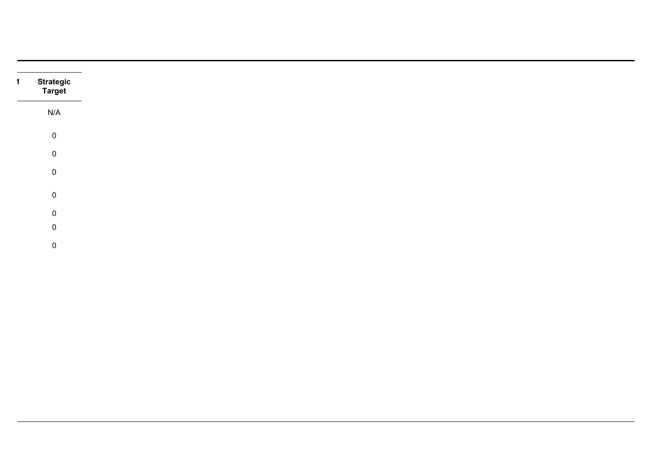| <b>Strategic</b> |
|------------------|
| <b>Target</b>    |
| N/A              |
| $\mathbf 0$      |
| $\mathbf 0$      |
| $\pmb{0}$        |
| $\pmb{0}$        |
| $\pmb{0}$        |
| $\pmb{0}$        |
| $\mathbf 0$      |
|                  |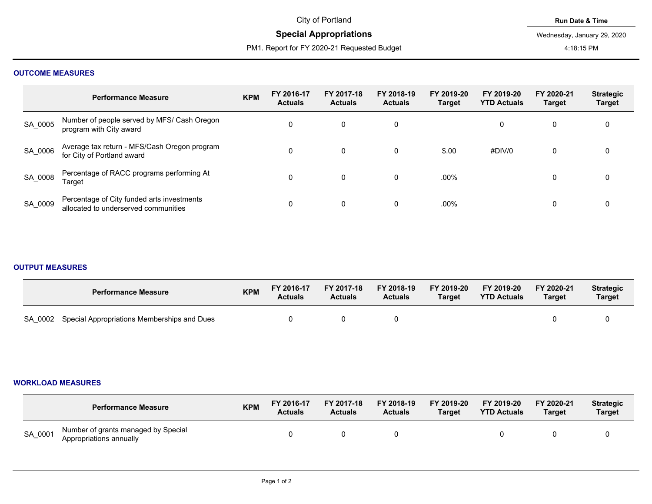# **Special Appropriations** Special Appropriations and the state of the Media Wednesday, January 29, 2020

PM1. Report for FY 2020-21 Requested Budget 4:18:15 PM

### **OUTCOME MEASURES**

|         | <b>Performance Measure</b>                                                         | <b>KPM</b> | FY 2016-17<br><b>Actuals</b> | FY 2017-18<br><b>Actuals</b> | FY 2018-19<br><b>Actuals</b> | FY 2019-20<br><b>Target</b> | FY 2019-20<br><b>YTD Actuals</b> | FY 2020-21<br><b>Target</b> | <b>Strategic</b><br>Target |
|---------|------------------------------------------------------------------------------------|------------|------------------------------|------------------------------|------------------------------|-----------------------------|----------------------------------|-----------------------------|----------------------------|
| SA_0005 | Number of people served by MFS/ Cash Oregon<br>program with City award             |            | 0                            | 0                            | 0                            |                             | 0                                | 0                           | 0                          |
| SA_0006 | Average tax return - MFS/Cash Oregon program<br>for City of Portland award         |            | 0                            | 0                            |                              | \$.00                       | #DIV/0                           | 0                           | 0                          |
| SA_0008 | Percentage of RACC programs performing At<br>arget                                 |            | 0                            | 0                            |                              | $.00\%$                     |                                  | $\mathbf{0}$                | 0                          |
| SA 0009 | Percentage of City funded arts investments<br>allocated to underserved communities |            | 0                            | 0                            |                              | .00%                        |                                  | 0                           | 0                          |

#### **OUTPUT MEASURES**

| <b>Performance Measure</b>                          | <b>KPM</b> | FY 2016-17<br><b>Actuals</b> | FY 2017-18<br><b>Actuals</b> | FY 2018-19<br><b>Actuals</b> | FY 2019-20<br><b>Target</b> | FY 2019-20<br><b>YTD Actuals</b> | FY 2020-21<br><b>Target</b> | <b>Strategic</b><br><b>Target</b> |
|-----------------------------------------------------|------------|------------------------------|------------------------------|------------------------------|-----------------------------|----------------------------------|-----------------------------|-----------------------------------|
| SA 0002 Special Appropriations Memberships and Dues |            |                              |                              |                              |                             |                                  |                             |                                   |

### **WORKLOAD MEASURES**

|         | <b>Performance Measure</b>                                     | <b>KPM</b> | FY 2016-17<br><b>Actuals</b> | FY 2017-18<br><b>Actuals</b> | FY 2018-19<br><b>Actuals</b> | FY 2019-20<br><b>Target</b> | FY 2019-20<br><b>YTD Actuals</b> | FY 2020-21<br><b>Target</b> | <b>Strategic</b><br><b>Target</b> |
|---------|----------------------------------------------------------------|------------|------------------------------|------------------------------|------------------------------|-----------------------------|----------------------------------|-----------------------------|-----------------------------------|
| SA_0001 | Number of grants managed by Special<br>Appropriations annually |            |                              |                              |                              |                             |                                  |                             |                                   |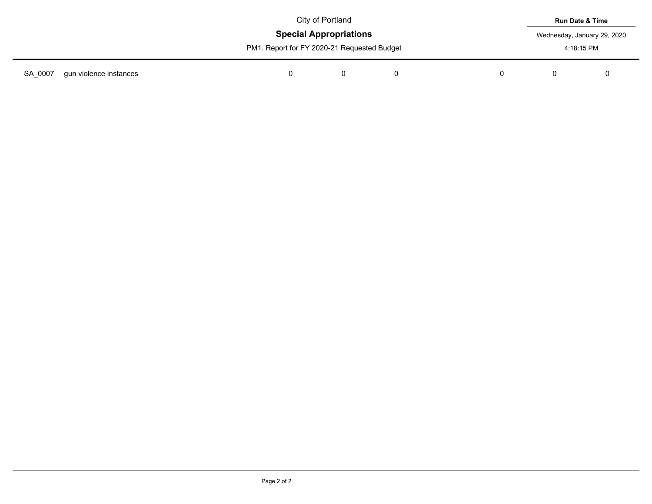| City of Portland                                                             |  |  |  |  | <b>Run Date &amp; Time</b>                |
|------------------------------------------------------------------------------|--|--|--|--|-------------------------------------------|
| <b>Special Appropriations</b><br>PM1. Report for FY 2020-21 Requested Budget |  |  |  |  | Wednesday, January 29, 2020<br>4:18:15 PM |
| SA 0007<br>gun violence instances                                            |  |  |  |  |                                           |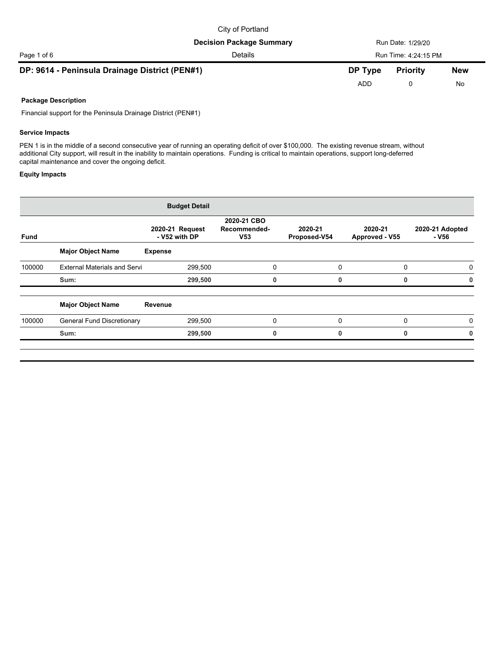#### **Decision Package Summary** Run Date: 1/29/20

| Page 1 of 6                                    | Details |            | Run Time: 4:24:15 PM |            |  |
|------------------------------------------------|---------|------------|----------------------|------------|--|
| DP: 9614 - Peninsula Drainage District (PEN#1) |         | DP Type    | Priority             | <b>New</b> |  |
|                                                |         | <b>ADD</b> |                      | No         |  |

### **Package Description**

Financial support for the Peninsula Drainage District (PEN#1)

#### **Service Impacts**

PEN 1 is in the middle of a second consecutive year of running an operating deficit of over \$100,000. The existing revenue stream, without additional City support, will result in the inability to maintain operations. Funding is critical to maintain operations, support long-deferred capital maintenance and cover the ongoing deficit.

#### **Equity Impacts**

|             |                                     | <b>Budget Detail</b>             |                                                |                         |                           |                          |
|-------------|-------------------------------------|----------------------------------|------------------------------------------------|-------------------------|---------------------------|--------------------------|
| <b>Fund</b> |                                     | 2020-21 Request<br>- V52 with DP | 2020-21 CBO<br>Recommended-<br>V <sub>53</sub> | 2020-21<br>Proposed-V54 | 2020-21<br>Approved - V55 | 2020-21 Adopted<br>- V56 |
|             | <b>Major Object Name</b>            | <b>Expense</b>                   |                                                |                         |                           |                          |
| 100000      | <b>External Materials and Servi</b> | 299,500                          | 0                                              | $\Omega$                | 0                         | 0                        |
|             | Sum:                                | 299,500                          | 0                                              | 0                       |                           |                          |
|             | <b>Major Object Name</b>            | Revenue                          |                                                |                         |                           |                          |
| 100000      | <b>General Fund Discretionary</b>   | 299,500                          | 0                                              | $\Omega$                | $\Omega$                  | 0                        |
|             | Sum:                                | 299,500                          | 0                                              | $\Omega$                |                           |                          |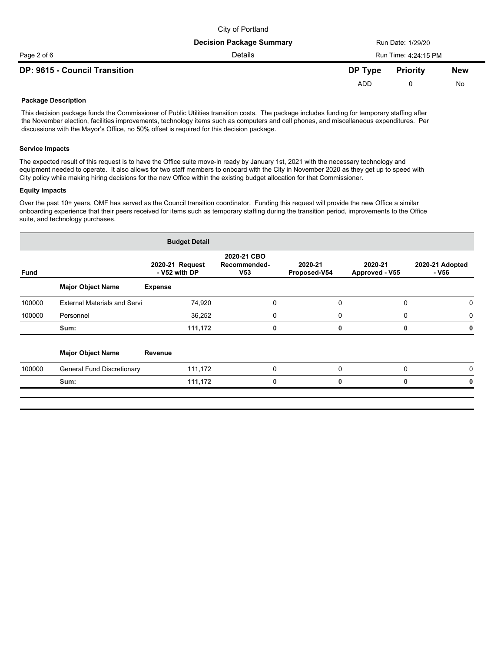| DP: 9615 - Council Transition |                                 | DP Type              | <b>Priority</b>   | <b>New</b> |  |
|-------------------------------|---------------------------------|----------------------|-------------------|------------|--|
| Page 2 of 6                   | Details                         | Run Time: 4:24:15 PM |                   |            |  |
|                               | <b>Decision Package Summary</b> |                      | Run Date: 1/29/20 |            |  |
|                               | City of Portland                |                      |                   |            |  |

| ADD. | No |
|------|----|
|      |    |

### **Package Description**

This decision package funds the Commissioner of Public Utilities transition costs. The package includes funding for temporary staffing after the November election, facilities improvements, technology items such as computers and cell phones, and miscellaneous expenditures. Per discussions with the Mayor's Office, no 50% offset is required for this decision package.

### **Service Impacts**

The expected result of this request is to have the Office suite move-in ready by January 1st, 2021 with the necessary technology and equipment needed to operate. It also allows for two staff members to onboard with the City in November 2020 as they get up to speed with City policy while making hiring decisions for the new Office within the existing budget allocation for that Commissioner.

#### **Equity Impacts**

Over the past 10+ years, OMF has served as the Council transition coordinator. Funding this request will provide the new Office a similar onboarding experience that their peers received for items such as temporary staffing during the transition period, improvements to the Office suite, and technology purchases.

|             |                                     | <b>Budget Detail</b>             |                                                |                         |                           |                          |
|-------------|-------------------------------------|----------------------------------|------------------------------------------------|-------------------------|---------------------------|--------------------------|
| <b>Fund</b> |                                     | 2020-21 Request<br>- V52 with DP | 2020-21 CBO<br>Recommended-<br>V <sub>53</sub> | 2020-21<br>Proposed-V54 | 2020-21<br>Approved - V55 | 2020-21 Adopted<br>- V56 |
|             | <b>Major Object Name</b>            | <b>Expense</b>                   |                                                |                         |                           |                          |
| 100000      | <b>External Materials and Servi</b> | 74,920                           | 0                                              | $\Omega$                | $\Omega$                  | 0                        |
| 100000      | Personnel                           | 36,252                           | 0                                              | 0                       |                           | 0                        |
|             | Sum:                                | 111,172                          | 0                                              | 0                       | 0                         | 0                        |
|             | <b>Major Object Name</b>            | Revenue                          |                                                |                         |                           |                          |
| 100000      | <b>General Fund Discretionary</b>   | 111,172                          | 0                                              | $\Omega$                | 0                         | 0                        |
|             | Sum:                                | 111,172                          | 0                                              | $\mathbf{0}$            | 0                         |                          |
|             |                                     |                                  |                                                |                         |                           |                          |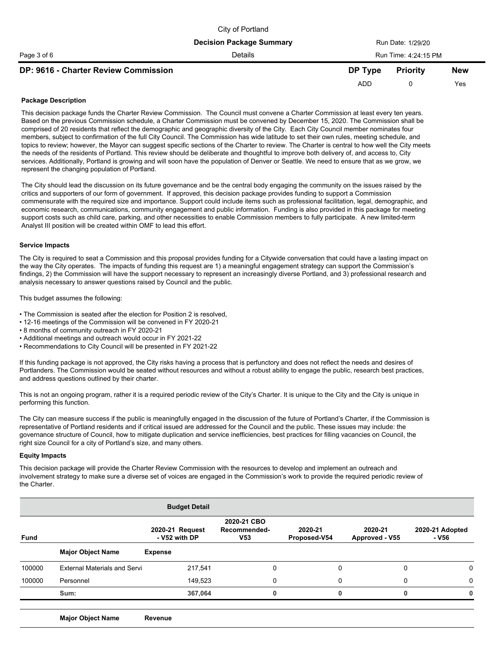| <b>UILY UI I UI LIGHU</b>       |            |                 |                                           |
|---------------------------------|------------|-----------------|-------------------------------------------|
| <b>Decision Package Summary</b> |            |                 |                                           |
| Details                         |            |                 |                                           |
|                                 | DP Type    | <b>Priority</b> | <b>New</b>                                |
|                                 | <b>ADD</b> |                 | Yes                                       |
|                                 |            |                 | Run Date: 1/29/20<br>Run Time: 4:24:15 PM |

#### **Package Description**

This decision package funds the Charter Review Commission. The Council must convene a Charter Commission at least every ten years. Based on the previous Commission schedule, a Charter Commission must be convened by December 15, 2020. The Commission shall be comprised of 20 residents that reflect the demographic and geographic diversity of the City. Each City Council member nominates four members, subject to confirmation of the full City Council. The Commission has wide latitude to set their own rules, meeting schedule, and topics to review; however, the Mayor can suggest specific sections of the Charter to review. The Charter is central to how well the City meets the needs of the residents of Portland. This review should be deliberate and thoughtful to improve both delivery of, and access to, City services. Additionally, Portland is growing and will soon have the population of Denver or Seattle. We need to ensure that as we grow, we represent the changing population of Portland.

The City should lead the discussion on its future governance and be the central body engaging the community on the issues raised by the critics and supporters of our form of government. If approved, this decision package provides funding to support a Commission commensurate with the required size and importance. Support could include items such as professional facilitation, legal, demographic, and economic research, communications, community engagement and public information. Funding is also provided in this package for meeting support costs such as child care, parking, and other necessities to enable Commission members to fully participate. A new limited-term Analyst III position will be created within OMF to lead this effort.

#### **Service Impacts**

The City is required to seat a Commission and this proposal provides funding for a Citywide conversation that could have a lasting impact on the way the City operates. The impacts of funding this request are 1) a meaningful engagement strategy can support the Commission's findings, 2) the Commission will have the support necessary to represent an increasingly diverse Portland, and 3) professional research and analysis necessary to answer questions raised by Council and the public.

This budget assumes the following:

- The Commission is seated after the election for Position 2 is resolved,
- 12-16 meetings of the Commission will be convened in FY 2020-21
- 8 months of community outreach in FY 2020-21
- Additional meetings and outreach would occur in FY 2021-22
- Recommendations to City Council will be presented in FY 2021-22

If this funding package is not approved, the City risks having a process that is perfunctory and does not reflect the needs and desires of Portlanders. The Commission would be seated without resources and without a robust ability to engage the public, research best practices, and address questions outlined by their charter.

This is not an ongoing program, rather it is a required periodic review of the City's Charter. It is unique to the City and the City is unique in performing this function.

The City can measure success if the public is meaningfully engaged in the discussion of the future of Portland's Charter, if the Commission is representative of Portland residents and if critical issued are addressed for the Council and the public. These issues may include: the governance structure of Council, how to mitigate duplication and service inefficiencies, best practices for filling vacancies on Council, the right size Council for a city of Portland's size, and many others.

#### **Equity Impacts**

This decision package will provide the Charter Review Commission with the resources to develop and implement an outreach and involvement strategy to make sure a diverse set of voices are engaged in the Commission's work to provide the required periodic review of the Charter.

|             |                                     | <b>Budget Detail</b>             |                                           |                         |                           |                          |
|-------------|-------------------------------------|----------------------------------|-------------------------------------------|-------------------------|---------------------------|--------------------------|
| <b>Fund</b> |                                     | 2020-21 Request<br>- V52 with DP | 2020-21 CBO<br>Recommended-<br><b>V53</b> | 2020-21<br>Proposed-V54 | 2020-21<br>Approved - V55 | 2020-21 Adopted<br>- V56 |
|             | <b>Major Object Name</b>            | <b>Expense</b>                   |                                           |                         |                           |                          |
| 100000      | <b>External Materials and Servi</b> | 217,541                          |                                           |                         |                           | 0                        |
| 100000      | Personnel                           | 149,523                          | 0                                         | 0                       | 0                         | 0                        |
|             | Sum:                                | 367,064                          | 0                                         | 0                       | 0                         | 0                        |
|             |                                     |                                  |                                           |                         |                           |                          |

**Major Object Name Revenue**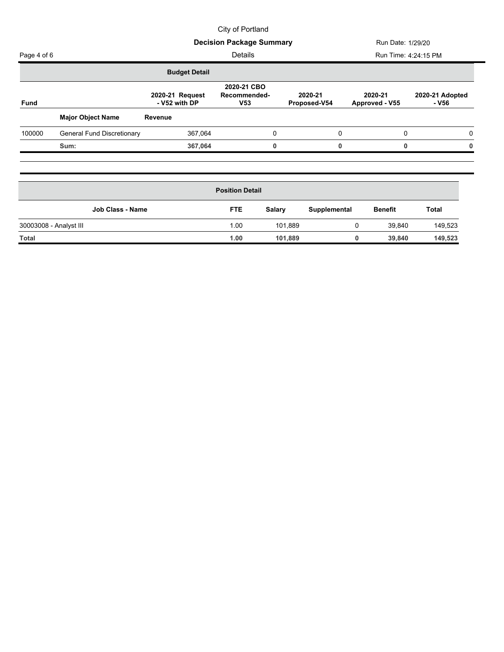**Decision Package Summary** Run Date: 1/29/20

| Page 4 of 6                |                                  | Details                                   |                         | Run Time: 4:24:15 PM      |                          |  |  |
|----------------------------|----------------------------------|-------------------------------------------|-------------------------|---------------------------|--------------------------|--|--|
|                            | <b>Budget Detail</b>             |                                           |                         |                           |                          |  |  |
|                            | 2020-21 Request<br>- V52 with DP | 2020-21 CBO<br>Recommended-<br><b>V53</b> | 2020-21<br>Proposed-V54 | 2020-21<br>Approved - V55 | 2020-21 Adopted<br>- V56 |  |  |
| <b>Major Object Name</b>   | Revenue                          |                                           |                         |                           |                          |  |  |
| General Fund Discretionary | 367,064                          | $\Omega$                                  | 0                       | 0                         | $\Omega$                 |  |  |
| Sum:                       | 367,064                          | $\mathbf{0}$                              | 0                       | 0                         | $\bf{0}$                 |  |  |
|                            |                                  |                                           |                         |                           |                          |  |  |
|                            |                                  |                                           |                         |                           |                          |  |  |

| <b>Position Detail</b> |            |         |              |                |              |  |  |  |  |
|------------------------|------------|---------|--------------|----------------|--------------|--|--|--|--|
| Job Class - Name       | <b>FTE</b> | Salary  | Supplemental | <b>Benefit</b> | <b>Total</b> |  |  |  |  |
| 30003008 - Analyst III | 1.00       | 101.889 |              | 39.840         | 149,523      |  |  |  |  |
| <b>Total</b>           | 1.00       | 101,889 |              | 39,840         | 149,523      |  |  |  |  |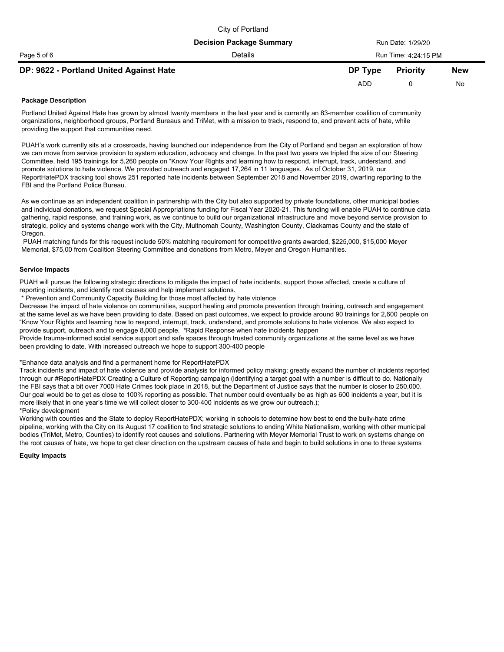**Decision Package Summary Run Date: 1/29/20** 

| Page 5 of 6                             | Details | Run Time: 4:24:15 PM |          |            |  |
|-----------------------------------------|---------|----------------------|----------|------------|--|
| DP: 9622 - Portland United Against Hate |         | DP Type              | Priority | <b>New</b> |  |
|                                         |         | <b>ADD</b>           |          | No         |  |

#### **Package Description**

Portland United Against Hate has grown by almost twenty members in the last year and is currently an 83-member coalition of community organizations, neighborhood groups, Portland Bureaus and TriMet, with a mission to track, respond to, and prevent acts of hate, while providing the support that communities need.

PUAH's work currently sits at a crossroads, having launched our independence from the City of Portland and began an exploration of how we can move from service provision to system education, advocacy and change. In the past two years we tripled the size of our Steering Committee, held 195 trainings for 5,260 people on "Know Your Rights and learning how to respond, interrupt, track, understand, and promote solutions to hate violence. We provided outreach and engaged 17,264 in 11 languages. As of October 31, 2019, our ReportHatePDX tracking tool shows 251 reported hate incidents between September 2018 and November 2019, dwarfing reporting to the FBI and the Portland Police Bureau.

As we continue as an independent coalition in partnership with the City but also supported by private foundations, other municipal bodies and individual donations, we request Special Appropriations funding for Fiscal Year 2020-21. This funding will enable PUAH to continue data gathering, rapid response, and training work, as we continue to build our organizational infrastructure and move beyond service provision to strategic, policy and systems change work with the City, Multnomah County, Washington County, Clackamas County and the state of Oregon.

 PUAH matching funds for this request include 50% matching requirement for competitive grants awarded, \$225,000, \$15,000 Meyer Memorial, \$75,00 from Coalition Steering Committee and donations from Metro, Meyer and Oregon Humanities.

#### **Service Impacts**

PUAH will pursue the following strategic directions to mitigate the impact of hate incidents, support those affected, create a culture of reporting incidents, and identify root causes and help implement solutions.

\* Prevention and Community Capacity Building for those most affected by hate violence

Decrease the impact of hate violence on communities, support healing and promote prevention through training, outreach and engagement at the same level as we have been providing to date. Based on past outcomes, we expect to provide around 90 trainings for 2,600 people on "Know Your Rights and learning how to respond, interrupt, track, understand, and promote solutions to hate violence. We also expect to provide support, outreach and to engage 8,000 people. \*Rapid Response when hate incidents happen

Provide trauma-informed social service support and safe spaces through trusted community organizations at the same level as we have been providing to date. With increased outreach we hope to support 300-400 people

\*Enhance data analysis and find a permanent home for ReportHatePDX

Track incidents and impact of hate violence and provide analysis for informed policy making; greatly expand the number of incidents reported through our #ReportHatePDX Creating a Culture of Reporting campaign (identifying a target goal with a number is difficult to do. Nationally the FBI says that a bit over 7000 Hate Crimes took place in 2018, but the Department of Justice says that the number is closer to 250,000. Our goal would be to get as close to 100% reporting as possible. That number could eventually be as high as 600 incidents a year, but it is more likely that in one year's time we will collect closer to 300-400 incidents as we grow our outreach.); \*Policy development

Working with counties and the State to deploy ReportHatePDX; working in schools to determine how best to end the bully-hate crime pipeline, working with the City on its August 17 coalition to find strategic solutions to ending White Nationalism, working with other municipal bodies (TriMet, Metro, Counties) to identify root causes and solutions. Partnering with Meyer Memorial Trust to work on systems change on the root causes of hate, we hope to get clear direction on the upstream causes of hate and begin to build solutions in one to three systems

**Equity Impacts**